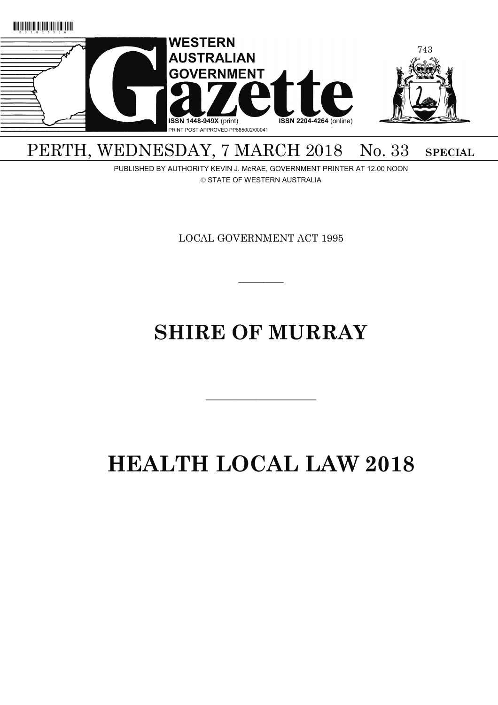

## PERTH, WEDNESDAY, 7 MARCH 2018 No. 33 SPECIAL

PUBLISHED BY AUTHORITY KEVIN J. McRAE, GOVERNMENT PRINTER AT 12.00 NOON © STATE OF WESTERN AUSTRALIA

LOCAL GOVERNMENT ACT 1995

 $\overline{\phantom{a}}$ 

# **SHIRE OF MURRAY**

———————————

# **HEALTH LOCAL LAW 2018**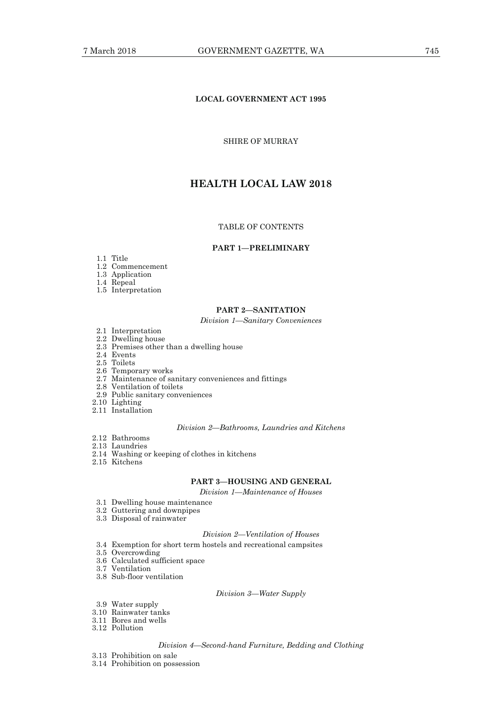## **LOCAL GOVERNMENT ACT 1995**

## SHIRE OF MURRAY

## **HEALTH LOCAL LAW 2018**

## TABLE OF CONTENTS

## **PART 1—PRELIMINARY**

- 1.1 Title
- 1.2 Commencement
- 1.3 Application
- 1.4 Repeal
- 1.5 Interpretation

## **PART 2—SANITATION**

#### *Division 1—Sanitary Conveniences*

- 2.1 Interpretation
- 2.2 Dwelling house
- 2.3 Premises other than a dwelling house
- 2.4 Events
- 2.5 Toilets
- 2.6 Temporary works
- 2.7 Maintenance of sanitary conveniences and fittings
- 2.8 Ventilation of toilets
- 2.9 Public sanitary conveniences
- 2.10 Lighting
- 2.11 Installation

#### *Division 2—Bathrooms, Laundries and Kitchens*

- 2.12 Bathrooms
- 2.13 Laundries
- 2.14 Washing or keeping of clothes in kitchens
- 2.15 Kitchens

## **PART 3—HOUSING AND GENERAL**

*Division 1—Maintenance of Houses* 

- 3.1 Dwelling house maintenance
- 3.2 Guttering and downpipes
- 3.3 Disposal of rainwater

#### *Division 2—Ventilation of Houses*

- 3.4 Exemption for short term hostels and recreational campsites
- 3.5 Overcrowding
- 3.6 Calculated sufficient space
- 3.7 Ventilation
- 3.8 Sub-floor ventilation

#### *Division 3—Water Supply*

- 3.9 Water supply
- 3.10 Rainwater tanks
- 3.11 Bores and wells
- 3.12 Pollution

## *Division 4—Second-hand Furniture, Bedding and Clothing*

- 3.13 Prohibition on sale
- 3.14 Prohibition on possession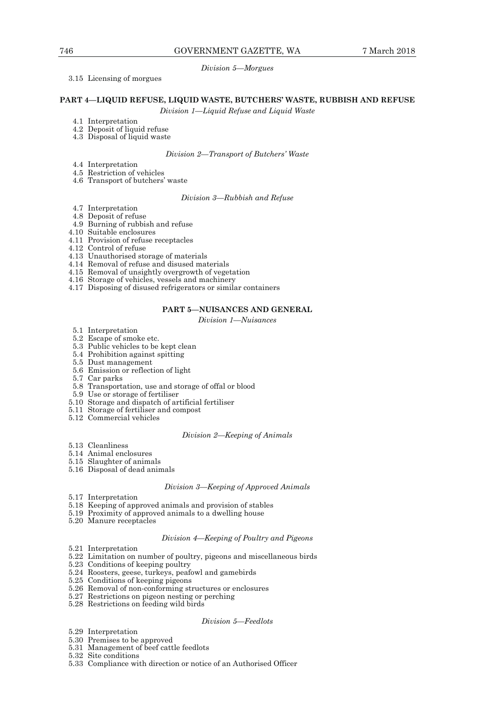## *Division 5—Morgues*

## 3.15 Licensing of morgues

#### **PART 4—LIQUID REFUSE, LIQUID WASTE, BUTCHERS' WASTE, RUBBISH AND REFUSE**

*Division 1—Liquid Refuse and Liquid Waste* 

- 4.1 Interpretation
- 4.2 Deposit of liquid refuse
- 4.3 Disposal of liquid waste

#### *Division 2—Transport of Butchers' Waste*

- 4.4 Interpretation
- 4.5 Restriction of vehicles
- 4.6 Transport of butchers' waste

*Division 3—Rubbish and Refuse* 

- 4.7 Interpretation
- 4.8 Deposit of refuse
- 4.9 Burning of rubbish and refuse
- 4.10 Suitable enclosures
- 4.11 Provision of refuse receptacles
- 4.12 Control of refuse
- 4.13 Unauthorised storage of materials
- 4.14 Removal of refuse and disused materials
- 4.15 Removal of unsightly overgrowth of vegetation
- 4.16 Storage of vehicles, vessels and machinery
- 4.17 Disposing of disused refrigerators or similar containers

## **PART 5—NUISANCES AND GENERAL**

*Division 1—Nuisances* 

- 5.1 Interpretation
- 5.2 Escape of smoke etc.
- 5.3 Public vehicles to be kept clean
- 5.4 Prohibition against spitting 5.5 Dust management
- 
- 5.6 Emission or reflection of light
- 5.7 Car parks
- 5.8 Transportation, use and storage of offal or blood
- 5.9 Use or storage of fertiliser
- 5.10 Storage and dispatch of artificial fertiliser
- 5.11 Storage of fertiliser and compost
- 5.12 Commercial vehicles

### *Division 2—Keeping of Animals*

- 5.13 Cleanliness
- 5.14 Animal enclosures
- 5.15 Slaughter of animals
- 5.16 Disposal of dead animals

#### *Division 3—Keeping of Approved Animals*

- 5.17 Interpretation
- 5.18 Keeping of approved animals and provision of stables
- 5.19 Proximity of approved animals to a dwelling house
- 5.20 Manure receptacles

#### *Division 4—Keeping of Poultry and Pigeons*

- 5.21 Interpretation
- 5.22 Limitation on number of poultry, pigeons and miscellaneous birds
- 5.23 Conditions of keeping poultry
- 5.24 Roosters, geese, turkeys, peafowl and gamebirds
- 5.25 Conditions of keeping pigeons
- 5.26 Removal of non-conforming structures or enclosures
- 5.27 Restrictions on pigeon nesting or perching
- 5.28 Restrictions on feeding wild birds

#### *Division 5—Feedlots*

- 5.29 Interpretation
- 5.30 Premises to be approved
- 5.31 Management of beef cattle feedlots
- 5.32 Site conditions
- 5.33 Compliance with direction or notice of an Authorised Officer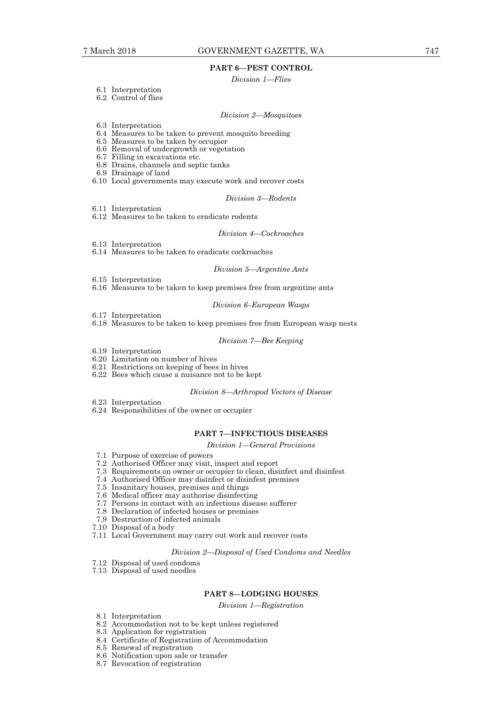## **PART 6—PEST CONTROL**

#### *Division 1—Flies*

- 6.1 Interpretation
- 6.2 Control of flies

## *Division 2—Mosquitoes*

- 6.3 Interpretation
- 6.4 Measures to be taken to prevent mosquito breeding
- 6.5 Measures to be taken by occupier
- 6.6 Removal of undergrowth or vegetation
- 6.7 Filling in excavations etc.
- 6.8 Drains, channels and septic tanks
- 6.9 Drainage of land
- 6.10 Local governments may execute work and recover costs

#### *Division 3—Rodents*

- 6.11 Interpretation
- 6.12 Measures to be taken to eradicate rodents

#### *Division 4—Cockroaches*

- 6.13 Interpretation
- 6.14 Measures to be taken to eradicate cockroaches

#### *Division 5—Argentine Ants*

- 6.15 Interpretation
- 6.16 Measures to be taken to keep premises free from argentine ants

#### *Division 6–European Wasps*

- 6.17 Interpretation
- 6.18 Measures to be taken to keep premises free from European wasp nests

#### *Division 7—Bee Keeping*

- 6.19 Interpretation
- 6.20 Limitation on number of hives
- 6.21 Restrictions on keeping of bees in hives
- 6.22 Bees which cause a nuisance not to be kept

#### *Division 8—Arthropod Vectors of Disease*

- 6.23 Interpretation
- 6.24 Responsibilities of the owner or occupier

#### **PART 7—INFECTIOUS DISEASES**

## *Division 1—General Provisions*

- 7.1 Purpose of exercise of powers
- 7.2 Authorised Officer may visit, inspect and report
- 7.3 Requirements on owner or occupier to clean, disinfect and disinfest
- 7.4 Authorised Officer may disinfect or disinfest premises
- 7.5 Insanitary houses, premises and things
- 7.6 Medical officer may authorise disinfecting
- 7.7 Persons in contact with an infectious disease sufferer
- 7.8 Declaration of infected houses or premises
- 7.9 Destruction of infected animals
- 7.10 Disposal of a body
- 7.11 Local Government may carry out work and recover costs

## *Division 2—Disposal of Used Condoms and Needles*

- 7.12 Disposal of used condoms
- 7.13 Disposal of used needles

## **PART 8—LODGING HOUSES**

*Division 1—Registration* 

- 8.1 Interpretation
- 8.2 Accommodation not to be kept unless registered
- 8.3 Application for registration
- 8.4 Certificate of Registration of Accommodation
- 8.5 Renewal of registration
- 8.6 Notification upon sale or transfer
- 8.7 Revocation of registration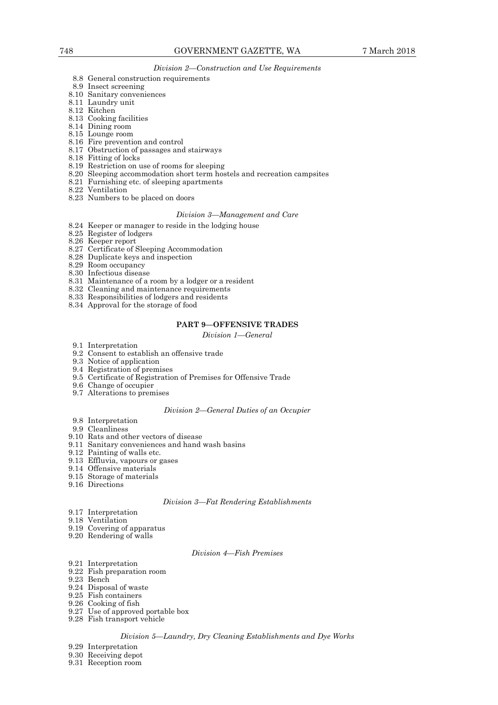#### *Division 2—Construction and Use Requirements*

- 8.8 General construction requirements
- 8.9 Insect screening
- 8.10 Sanitary conveniences
- 8.11 Laundry unit
- 8.12 Kitchen
- 8.13 Cooking facilities
- 8.14 Dining room
	- 8.15 Lounge room
	- 8.16 Fire prevention and control
	- 8.17 Obstruction of passages and stairways
	- 8.18 Fitting of locks
	- 8.19 Restriction on use of rooms for sleeping
	- 8.20 Sleeping accommodation short term hostels and recreation campsites
	- 8.21 Furnishing etc. of sleeping apartments
	- 8.22 Ventilation
	- 8.23 Numbers to be placed on doors

#### *Division 3—Management and Care*

- 8.24 Keeper or manager to reside in the lodging house
- 8.25 Register of lodgers
- 8.26 Keeper report
- 8.27 Certificate of Sleeping Accommodation
- 8.28 Duplicate keys and inspection
- 8.29 Room occupancy
- 8.30 Infectious disease
- 8.31 Maintenance of a room by a lodger or a resident
- 8.32 Cleaning and maintenance requirements
- 8.33 Responsibilities of lodgers and residents
- 8.34 Approval for the storage of food

## **PART 9—OFFENSIVE TRADES**

*Division 1—General* 

- 9.1 Interpretation
- 9.2 Consent to establish an offensive trade
- 9.3 Notice of application
- 9.4 Registration of premises
- 9.5 Certificate of Registration of Premises for Offensive Trade
- 9.6 Change of occupier
- 9.7 Alterations to premises

## *Division 2—General Duties of an Occupier*

- 9.8 Interpretation
- 9.9 Cleanliness
- 9.10 Rats and other vectors of disease
- 9.11 Sanitary conveniences and hand wash basins
- 9.12 Painting of walls etc.
- 9.13 Effluvia, vapours or gases
- 9.14 Offensive materials
- 9.15 Storage of materials
- 9.16 Directions

## *Division 3—Fat Rendering Establishments*

- 9.17 Interpretation
- 9.18 Ventilation
- 9.19 Covering of apparatus
- 9.20 Rendering of walls

#### *Division 4—Fish Premises*

- 9.21 Interpretation
- 9.22 Fish preparation room
- 9.23 Bench
- 9.24 Disposal of waste
- 9.25 Fish containers
- 9.26 Cooking of fish
- 9.27 Use of approved portable box
- 9.28 Fish transport vehicle

## *Division 5—Laundry, Dry Cleaning Establishments and Dye Works*

9.29 Interpretation

- 9.30 Receiving depot
- 9.31 Reception room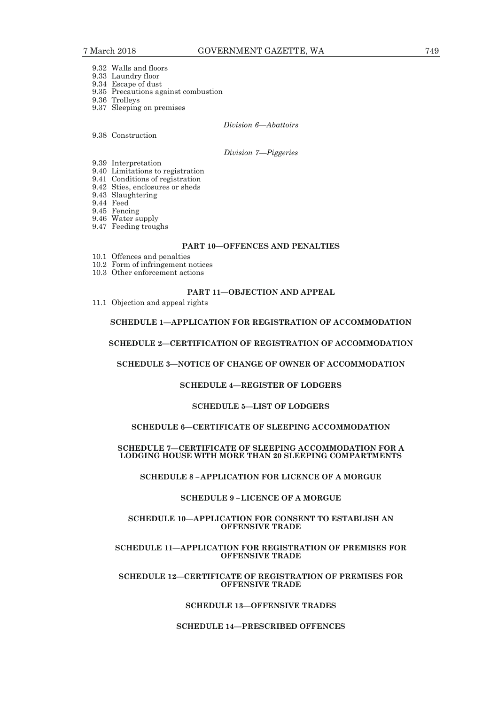- 9.32 Walls and floors
- 9.33 Laundry floor
- 9.34 Escape of dust 9.35 Precautions against combustion
- 9.36 Trolleys
- 9.37 Sleeping on premises

## *Division 6—Abattoirs*

9.38 Construction

#### *Division 7—Piggeries*

- 9.39 Interpretation
- 9.40 Limitations to registration
- 9.41 Conditions of registration
- 9.42 Sties, enclosures or sheds
- 9.43 Slaughtering
- 9.44 Feed
- 9.45 Fencing 9.46 Water supply
	- 9.47 Feeding troughs
	-

## **PART 10—OFFENCES AND PENALTIES**

- 10.1 Offences and penalties
- 10.2 Form of infringement notices
- 10.3 Other enforcement actions

## **PART 11—OBJECTION AND APPEAL**

11.1 Objection and appeal rights

## **SCHEDULE 1—APPLICATION FOR REGISTRATION OF ACCOMMODATION**

## **SCHEDULE 2—CERTIFICATION OF REGISTRATION OF ACCOMMODATION**

## **SCHEDULE 3—NOTICE OF CHANGE OF OWNER OF ACCOMMODATION**

#### **SCHEDULE 4—REGISTER OF LODGERS**

#### **SCHEDULE 5—LIST OF LODGERS**

## **SCHEDULE 6—CERTIFICATE OF SLEEPING ACCOMMODATION**

## **SCHEDULE 7—CERTIFICATE OF SLEEPING ACCOMMODATION FOR A LODGING HOUSE WITH MORE THAN 20 SLEEPING COMPARTMENTS**

## **SCHEDULE 8 – APPLICATION FOR LICENCE OF A MORGUE**

#### **SCHEDULE 9 – LICENCE OF A MORGUE**

#### **SCHEDULE 10—APPLICATION FOR CONSENT TO ESTABLISH AN OFFENSIVE TRADE**

## **SCHEDULE 11—APPLICATION FOR REGISTRATION OF PREMISES FOR OFFENSIVE TRADE**

## **SCHEDULE 12—CERTIFICATE OF REGISTRATION OF PREMISES FOR OFFENSIVE TRADE**

## **SCHEDULE 13—OFFENSIVE TRADES**

#### **SCHEDULE 14—PRESCRIBED OFFENCES**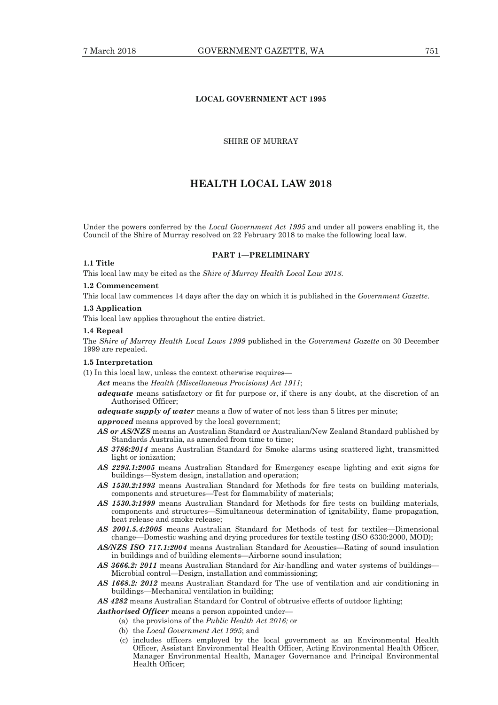## **LOCAL GOVERNMENT ACT 1995**

#### SHIRE OF MURRAY

## **HEALTH LOCAL LAW 2018**

Under the powers conferred by the *Local Government Act 1995* and under all powers enabling it, the Council of the Shire of Murray resolved on 22 February 2018 to make the following local law.

**PART 1—PRELIMINARY** 

#### **1.1 Title**

This local law may be cited as the *Shire of Murray Health Local Law 2018*.

## **1.2 Commencement**

This local law commences 14 days after the day on which it is published in the *Government Gazette*.

#### **1.3 Application**

This local law applies throughout the entire district.

#### **1.4 Repeal**

The *Shire of Murray Health Local Laws 1999* published in the *Government Gazette* on 30 December 1999 are repealed.

#### **1.5 Interpretation**

(1) In this local law, unless the context otherwise requires—

*Act* means the *Health (Miscellaneous Provisions) Act 1911*;

*adequate* means satisfactory or fit for purpose or, if there is any doubt, at the discretion of an Authorised Officer;

*adequate supply of water* means a flow of water of not less than 5 litres per minute;

*approved* means approved by the local government;

- *AS or AS/NZS* means an Australian Standard or Australian/New Zealand Standard published by Standards Australia, as amended from time to time;
- *AS 3786:2014* means Australian Standard for Smoke alarms using scattered light, transmitted light or ionization;
- *AS 2293.1:2005* means Australian Standard for Emergency escape lighting and exit signs for buildings—System design, installation and operation;
- *AS 1530.2:1993* means Australian Standard for Methods for fire tests on building materials, components and structures—Test for flammability of materials;
- *AS 1530.3:1999* means Australian Standard for Methods for fire tests on building materials, components and structures—Simultaneous determination of ignitability, flame propagation, heat release and smoke release;
- *AS 2001.5.4:2005* means Australian Standard for Methods of test for textiles—Dimensional change—Domestic washing and drying procedures for textile testing (ISO 6330:2000, MOD);
- *AS/NZS ISO 717.1:2004* means Australian Standard for Acoustics—Rating of sound insulation in buildings and of building elements—Airborne sound insulation;
- *AS 3666.2: 2011* means Australian Standard for Air-handling and water systems of buildings— Microbial control—Design, installation and commissioning;
- *AS 1668.2: 2012* means Australian Standard for The use of ventilation and air conditioning in buildings—Mechanical ventilation in building;

*AS 4282* means Australian Standard for Control of obtrusive effects of outdoor lighting;

- *Authorised Officer* means a person appointed under—
	- (a) the provisions of the *Public Health Act 2016;* or
	- (b) the *Local Government Act 1995*; and
	- (c) includes officers employed by the local government as an Environmental Health Officer, Assistant Environmental Health Officer, Acting Environmental Health Officer, Manager Environmental Health, Manager Governance and Principal Environmental Health Officer;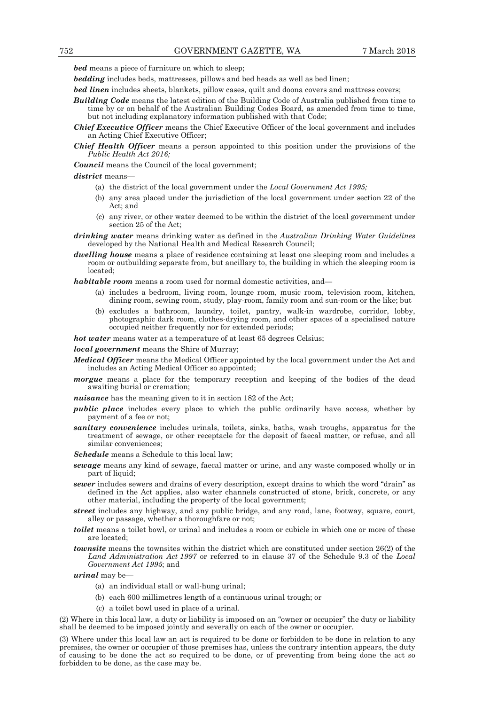*bed* means a piece of furniture on which to sleep;

*bedding* includes beds, mattresses, pillows and bed heads as well as bed linen;

*bed linen* includes sheets, blankets, pillow cases, quilt and doona covers and mattress covers;

- *Building Code* means the latest edition of the Building Code of Australia published from time to time by or on behalf of the Australian Building Codes Board, as amended from time to time, but not including explanatory information published with that Code;
- *Chief Executive Officer* means the Chief Executive Officer of the local government and includes an Acting Chief Executive Officer;
- *Chief Health Officer* means a person appointed to this position under the provisions of the *Public Health Act 2016;*

*Council* means the Council of the local government;

*district* means—

- (a) the district of the local government under the *Local Government Act 1995;*
- (b) any area placed under the jurisdiction of the local government under section 22 of the Act; and
- (c) any river, or other water deemed to be within the district of the local government under section 25 of the Act;
- *drinking water* means drinking water as defined in the *Australian Drinking Water Guidelines*  developed by the National Health and Medical Research Council;
- *dwelling house* means a place of residence containing at least one sleeping room and includes a room or outbuilding separate from, but ancillary to, the building in which the sleeping room is located;

*habitable room* means a room used for normal domestic activities, and—

- (a) includes a bedroom, living room, lounge room, music room, television room, kitchen, dining room, sewing room, study, play-room, family room and sun-room or the like; but
- (b) excludes a bathroom, laundry, toilet, pantry, walk-in wardrobe, corridor, lobby, photographic dark room, clothes-drying room, and other spaces of a specialised nature occupied neither frequently nor for extended periods;

*hot water* means water at a temperature of at least 65 degrees Celsius;

*local government* means the Shire of Murray;

- *Medical Officer* means the Medical Officer appointed by the local government under the Act and includes an Acting Medical Officer so appointed;
- *morgue* means a place for the temporary reception and keeping of the bodies of the dead awaiting burial or cremation;

*nuisance* has the meaning given to it in section 182 of the Act;

- *public place* includes every place to which the public ordinarily have access, whether by payment of a fee or not;
- *sanitary convenience* includes urinals, toilets, sinks, baths, wash troughs, apparatus for the treatment of sewage, or other receptacle for the deposit of faecal matter, or refuse, and all similar conveniences;

*Schedule* means a Schedule to this local law;

- *sewage* means any kind of sewage, faecal matter or urine, and any waste composed wholly or in part of liquid;
- *sewer* includes sewers and drains of every description, except drains to which the word "drain" as defined in the Act applies, also water channels constructed of stone, brick, concrete, or any other material, including the property of the local government;
- *street* includes any highway, and any public bridge, and any road, lane, footway, square, court, alley or passage, whether a thoroughfare or not;
- *toilet* means a toilet bowl, or urinal and includes a room or cubicle in which one or more of these are located;
- *townsite* means the townsites within the district which are constituted under section 26(2) of the *Land Administration Act 1997* or referred to in clause 37 of the Schedule 9.3 of the *Local Government Act 1995*; and

*urinal* may be—

- (a) an individual stall or wall-hung urinal;
	- (b) each 600 millimetres length of a continuous urinal trough; or
	- (c) a toilet bowl used in place of a urinal.

(2) Where in this local law, a duty or liability is imposed on an "owner or occupier" the duty or liability shall be deemed to be imposed jointly and severally on each of the owner or occupier.

(3) Where under this local law an act is required to be done or forbidden to be done in relation to any premises, the owner or occupier of those premises has, unless the contrary intention appears, the duty of causing to be done the act so required to be done, or of preventing from being done the act so forbidden to be done, as the case may be.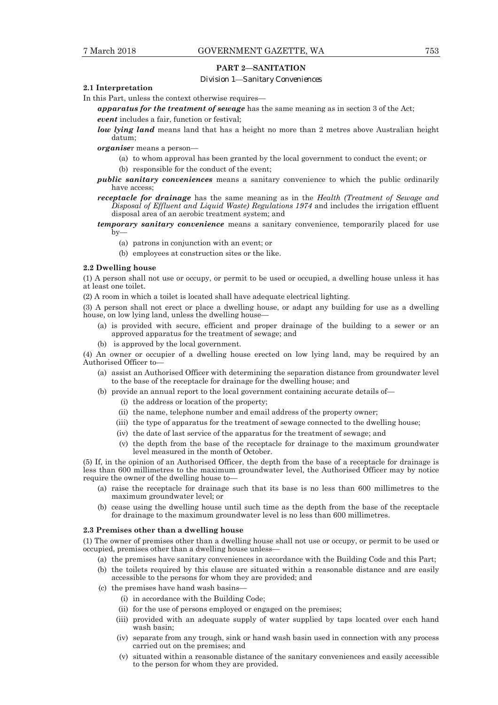## **PART 2—SANITATION**

#### *Division 1—Sanitary Conveniences*

## **2.1 Interpretation**

In this Part, unless the context otherwise requires—

*apparatus for the treatment of sewage* has the same meaning as in section 3 of the Act;

*event* includes a fair, function or festival;

*low lying land* means land that has a height no more than 2 metres above Australian height datum;

*organise*r means a person—

- (a) to whom approval has been granted by the local government to conduct the event; or
- (b) responsible for the conduct of the event;
- *public sanitary conveniences* means a sanitary convenience to which the public ordinarily have access;
- *receptacle for drainage* has the same meaning as in the *Health (Treatment of Sewage and Disposal of Effluent and Liquid Waste) Regulations 1974* and includes the irrigation effluent disposal area of an aerobic treatment system; and
- *temporary sanitary convenience* means a sanitary convenience, temporarily placed for use  $\bar{b}y-$ 
	- (a) patrons in conjunction with an event; or
	- (b) employees at construction sites or the like.

#### **2.2 Dwelling house**

(1) A person shall not use or occupy, or permit to be used or occupied, a dwelling house unless it has at least one toilet.

(2) A room in which a toilet is located shall have adequate electrical lighting.

(3) A person shall not erect or place a dwelling house, or adapt any building for use as a dwelling house, on low lying land, unless the dwelling house—

- (a) is provided with secure, efficient and proper drainage of the building to a sewer or an approved apparatus for the treatment of sewage; and
- (b) is approved by the local government.

(4) An owner or occupier of a dwelling house erected on low lying land, may be required by an Authorised Officer to—

- (a) assist an Authorised Officer with determining the separation distance from groundwater level to the base of the receptacle for drainage for the dwelling house; and
- (b) provide an annual report to the local government containing accurate details of—
	- (i) the address or location of the property;
	- (ii) the name, telephone number and email address of the property owner;
	- (iii) the type of apparatus for the treatment of sewage connected to the dwelling house;
	- (iv) the date of last service of the apparatus for the treatment of sewage; and
	- (v) the depth from the base of the receptacle for drainage to the maximum groundwater level measured in the month of October.

(5) If, in the opinion of an Authorised Officer, the depth from the base of a receptacle for drainage is less than 600 millimetres to the maximum groundwater level, the Authorised Officer may by notice require the owner of the dwelling house to—

- (a) raise the receptacle for drainage such that its base is no less than 600 millimetres to the maximum groundwater level; or
- (b) cease using the dwelling house until such time as the depth from the base of the receptacle for drainage to the maximum groundwater level is no less than 600 millimetres.

#### **2.3 Premises other than a dwelling house**

(1) The owner of premises other than a dwelling house shall not use or occupy, or permit to be used or occupied, premises other than a dwelling house unless—

- (a) the premises have sanitary conveniences in accordance with the Building Code and this Part;
- (b) the toilets required by this clause are situated within a reasonable distance and are easily accessible to the persons for whom they are provided; and
- (c) the premises have hand wash basins—
	- (i) in accordance with the Building Code;
	- (ii) for the use of persons employed or engaged on the premises;
	- (iii) provided with an adequate supply of water supplied by taps located over each hand wash basin;
	- (iv) separate from any trough, sink or hand wash basin used in connection with any process carried out on the premises; and
	- (v) situated within a reasonable distance of the sanitary conveniences and easily accessible to the person for whom they are provided.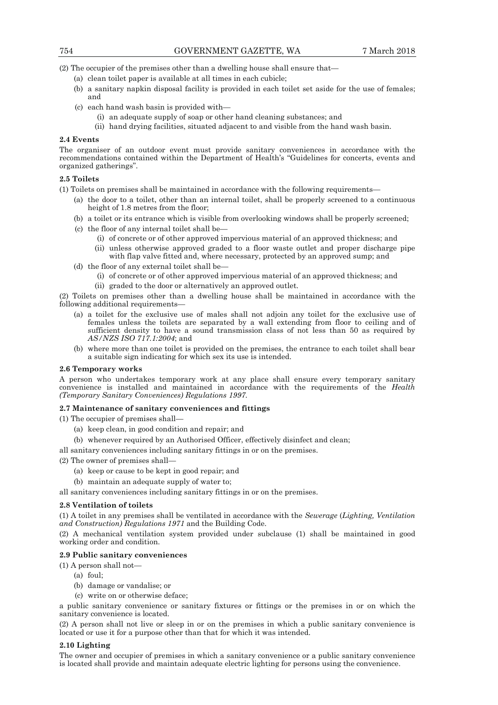(2) The occupier of the premises other than a dwelling house shall ensure that—

- (a) clean toilet paper is available at all times in each cubicle;
- (b) a sanitary napkin disposal facility is provided in each toilet set aside for the use of females; and
- (c) each hand wash basin is provided with—
	- (i) an adequate supply of soap or other hand cleaning substances; and
	- (ii) hand drying facilities, situated adjacent to and visible from the hand wash basin.

## **2.4 Events**

The organiser of an outdoor event must provide sanitary conveniences in accordance with the recommendations contained within the Department of Health's "Guidelines for concerts, events and organized gatherings".

## **2.5 Toilets**

(1) Toilets on premises shall be maintained in accordance with the following requirements—

- (a) the door to a toilet, other than an internal toilet, shall be properly screened to a continuous height of 1.8 metres from the floor;
- (b) a toilet or its entrance which is visible from overlooking windows shall be properly screened;
- (c) the floor of any internal toilet shall be—
	- (i) of concrete or of other approved impervious material of an approved thickness; and
	- (ii) unless otherwise approved graded to a floor waste outlet and proper discharge pipe with flap valve fitted and, where necessary, protected by an approved sump; and
- (d) the floor of any external toilet shall be—
	- (i) of concrete or of other approved impervious material of an approved thickness; and
	- (ii) graded to the door or alternatively an approved outlet.

(2) Toilets on premises other than a dwelling house shall be maintained in accordance with the following additional requirements—

- (a) a toilet for the exclusive use of males shall not adjoin any toilet for the exclusive use of females unless the toilets are separated by a wall extending from floor to ceiling and of sufficient density to have a sound transmission class of not less than 50 as required by *AS/NZS ISO 717.1:2004*; and
- (b) where more than one toilet is provided on the premises, the entrance to each toilet shall bear a suitable sign indicating for which sex its use is intended.

#### **2.6 Temporary works**

A person who undertakes temporary work at any place shall ensure every temporary sanitary convenience is installed and maintained in accordance with the requirements of the *Health (Temporary Sanitary Conveniences) Regulations 1997.* 

## **2.7 Maintenance of sanitary conveniences and fittings**

(1) The occupier of premises shall—

- (a) keep clean, in good condition and repair; and
- (b) whenever required by an Authorised Officer, effectively disinfect and clean;

all sanitary conveniences including sanitary fittings in or on the premises.

- (2) The owner of premises shall—
	- (a) keep or cause to be kept in good repair; and
	- (b) maintain an adequate supply of water to;

all sanitary conveniences including sanitary fittings in or on the premises.

#### **2.8 Ventilation of toilets**

(1) A toilet in any premises shall be ventilated in accordance with the *Sewerage* (*Lighting, Ventilation and Construction) Regulations 1971* and the Building Code.

(2) A mechanical ventilation system provided under subclause (1) shall be maintained in good working order and condition.

## **2.9 Public sanitary conveniences**

(1) A person shall not—

- $(a)$  foul:
- (b) damage or vandalise; or
- (c) write on or otherwise deface;

a public sanitary convenience or sanitary fixtures or fittings or the premises in or on which the sanitary convenience is located.

(2) A person shall not live or sleep in or on the premises in which a public sanitary convenience is located or use it for a purpose other than that for which it was intended.

#### **2.10 Lighting**

The owner and occupier of premises in which a sanitary convenience or a public sanitary convenience is located shall provide and maintain adequate electric lighting for persons using the convenience.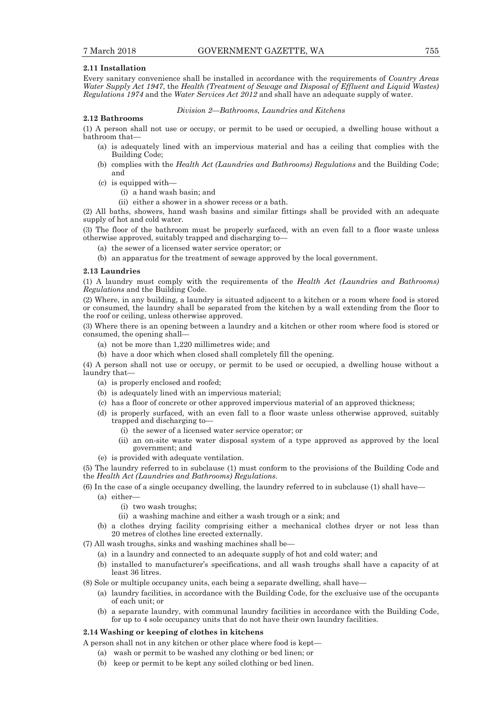#### **2.11 Installation**

Every sanitary convenience shall be installed in accordance with the requirements of *Country Areas Water Supply Act 1947*, the *Health (Treatment of Sewage and Disposal of Effluent and Liquid Wastes) Regulations 1974* and the *Water Services Act 2012* and shall have an adequate supply of water.

#### *Division 2—Bathrooms, Laundries and Kitchens*

#### **2.12 Bathrooms**

(1) A person shall not use or occupy, or permit to be used or occupied, a dwelling house without a bathroom that—

- (a) is adequately lined with an impervious material and has a ceiling that complies with the Building Code;
- (b) complies with the *Health Act (Laundries and Bathrooms) Regulations* and the Building Code; and
- (c) is equipped with—
	- (i) a hand wash basin; and
	- (ii) either a shower in a shower recess or a bath.

(2) All baths, showers, hand wash basins and similar fittings shall be provided with an adequate supply of hot and cold water.

(3) The floor of the bathroom must be properly surfaced, with an even fall to a floor waste unless otherwise approved, suitably trapped and discharging to—

- (a) the sewer of a licensed water service operator; or
- (b) an apparatus for the treatment of sewage approved by the local government.

#### **2.13 Laundries**

(1) A laundry must comply with the requirements of the *Health Act (Laundries and Bathrooms) Regulations* and the Building Code.

(2) Where, in any building, a laundry is situated adjacent to a kitchen or a room where food is stored or consumed, the laundry shall be separated from the kitchen by a wall extending from the floor to the roof or ceiling, unless otherwise approved.

(3) Where there is an opening between a laundry and a kitchen or other room where food is stored or consumed, the opening shall—

- (a) not be more than 1,220 millimetres wide; and
- (b) have a door which when closed shall completely fill the opening.

(4) A person shall not use or occupy, or permit to be used or occupied, a dwelling house without a laundry that—

- (a) is properly enclosed and roofed;
- (b) is adequately lined with an impervious material;
- (c) has a floor of concrete or other approved impervious material of an approved thickness;
- (d) is properly surfaced, with an even fall to a floor waste unless otherwise approved, suitably trapped and discharging to—
	- (i) the sewer of a licensed water service operator; or
	- (ii) an on-site waste water disposal system of a type approved as approved by the local government; and
- (e) is provided with adequate ventilation.

(5) The laundry referred to in subclause (1) must conform to the provisions of the Building Code and the *Health Act (Laundries and Bathrooms) Regulations*.

- (6) In the case of a single occupancy dwelling, the laundry referred to in subclause (1) shall have—
	- (a) either—
		- (i) two wash troughs;
		- (ii) a washing machine and either a wash trough or a sink; and
	- (b) a clothes drying facility comprising either a mechanical clothes dryer or not less than 20 metres of clothes line erected externally.

(7) All wash troughs, sinks and washing machines shall be—

- (a) in a laundry and connected to an adequate supply of hot and cold water; and
	- (b) installed to manufacturer's specifications, and all wash troughs shall have a capacity of at least 36 litres.
- (8) Sole or multiple occupancy units, each being a separate dwelling, shall have—
	- (a) laundry facilities, in accordance with the Building Code, for the exclusive use of the occupants of each unit; or
	- (b) a separate laundry, with communal laundry facilities in accordance with the Building Code, for up to 4 sole occupancy units that do not have their own laundry facilities.

#### **2.14 Washing or keeping of clothes in kitchens**

- A person shall not in any kitchen or other place where food is kept—
	- (a) wash or permit to be washed any clothing or bed linen; or
	- (b) keep or permit to be kept any soiled clothing or bed linen.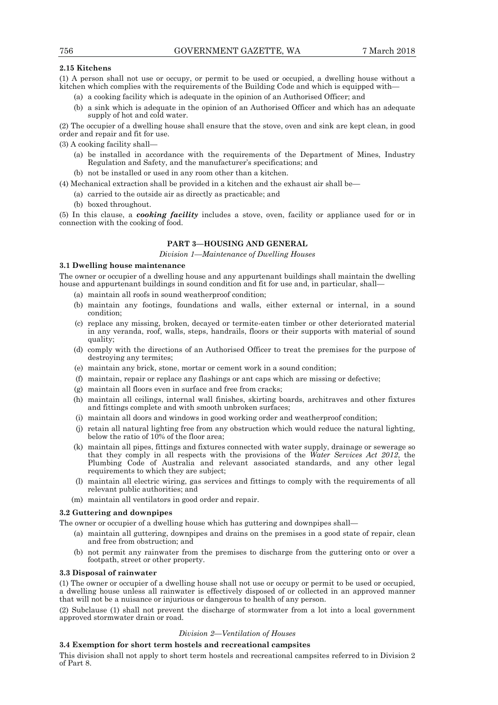## **2.15 Kitchens**

(1) A person shall not use or occupy, or permit to be used or occupied, a dwelling house without a kitchen which complies with the requirements of the Building Code and which is equipped with—

- (a) a cooking facility which is adequate in the opinion of an Authorised Officer; and
- (b) a sink which is adequate in the opinion of an Authorised Officer and which has an adequate supply of hot and cold water.

(2) The occupier of a dwelling house shall ensure that the stove, oven and sink are kept clean, in good order and repair and fit for use.

- (3) A cooking facility shall—
	- (a) be installed in accordance with the requirements of the Department of Mines, Industry Regulation and Safety, and the manufacturer's specifications; and
	- (b) not be installed or used in any room other than a kitchen.

(4) Mechanical extraction shall be provided in a kitchen and the exhaust air shall be—

- (a) carried to the outside air as directly as practicable; and
- (b) boxed throughout.

(5) In this clause, a *cooking facility* includes a stove, oven, facility or appliance used for or in connection with the cooking of food.

## **PART 3—HOUSING AND GENERAL**

*Division 1—Maintenance of Dwelling Houses* 

#### **3.1 Dwelling house maintenance**

The owner or occupier of a dwelling house and any appurtenant buildings shall maintain the dwelling house and appurtenant buildings in sound condition and fit for use and, in particular, shall—

- (a) maintain all roofs in sound weatherproof condition;
- (b) maintain any footings, foundations and walls, either external or internal, in a sound condition;
- (c) replace any missing, broken, decayed or termite-eaten timber or other deteriorated material in any veranda, roof, walls, steps, handrails, floors or their supports with material of sound quality;
- (d) comply with the directions of an Authorised Officer to treat the premises for the purpose of destroying any termites;
- (e) maintain any brick, stone, mortar or cement work in a sound condition;
- (f) maintain, repair or replace any flashings or ant caps which are missing or defective;
- (g) maintain all floors even in surface and free from cracks;
- (h) maintain all ceilings, internal wall finishes, skirting boards, architraves and other fixtures and fittings complete and with smooth unbroken surfaces;
- (i) maintain all doors and windows in good working order and weatherproof condition;
- (j) retain all natural lighting free from any obstruction which would reduce the natural lighting, below the ratio of 10% of the floor area;
- (k) maintain all pipes, fittings and fixtures connected with water supply, drainage or sewerage so that they comply in all respects with the provisions of the *Water Services Act 2012*, the Plumbing Code of Australia and relevant associated standards, and any other legal requirements to which they are subject;
- (l) maintain all electric wiring, gas services and fittings to comply with the requirements of all relevant public authorities; and
- (m) maintain all ventilators in good order and repair.

## **3.2 Guttering and downpipes**

The owner or occupier of a dwelling house which has guttering and downpipes shall—

- (a) maintain all guttering, downpipes and drains on the premises in a good state of repair, clean and free from obstruction; and
- (b) not permit any rainwater from the premises to discharge from the guttering onto or over a footpath, street or other property.

### **3.3 Disposal of rainwater**

(1) The owner or occupier of a dwelling house shall not use or occupy or permit to be used or occupied, a dwelling house unless all rainwater is effectively disposed of or collected in an approved manner that will not be a nuisance or injurious or dangerous to health of any person.

(2) Subclause (1) shall not prevent the discharge of stormwater from a lot into a local government approved stormwater drain or road.

#### *Division 2—Ventilation of Houses*

## **3.4 Exemption for short term hostels and recreational campsites**

This division shall not apply to short term hostels and recreational campsites referred to in Division 2 of Part 8.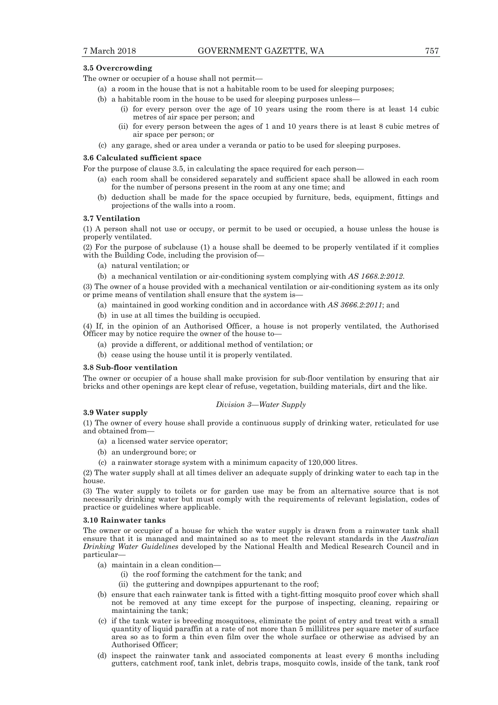#### **3.5 Overcrowding**

The owner or occupier of a house shall not permit—

- (a) a room in the house that is not a habitable room to be used for sleeping purposes;
- (b) a habitable room in the house to be used for sleeping purposes unless—
	- (i) for every person over the age of 10 years using the room there is at least 14 cubic metres of air space per person; and
	- (ii) for every person between the ages of 1 and 10 years there is at least 8 cubic metres of air space per person; or
- (c) any garage, shed or area under a veranda or patio to be used for sleeping purposes.

#### **3.6 Calculated sufficient space**

For the purpose of clause 3.5, in calculating the space required for each person—

- (a) each room shall be considered separately and sufficient space shall be allowed in each room for the number of persons present in the room at any one time; and
- (b) deduction shall be made for the space occupied by furniture, beds, equipment, fittings and projections of the walls into a room.

#### **3.7 Ventilation**

(1) A person shall not use or occupy, or permit to be used or occupied, a house unless the house is properly ventilated.

(2) For the purpose of subclause (1) a house shall be deemed to be properly ventilated if it complies with the Building Code, including the provision of—

- (a) natural ventilation; or
- (b) a mechanical ventilation or air-conditioning system complying with *AS 1668.2:2012*.

(3) The owner of a house provided with a mechanical ventilation or air-conditioning system as its only or prime means of ventilation shall ensure that the system is—

- (a) maintained in good working condition and in accordance with *AS 3666.2:2011*; and
- (b) in use at all times the building is occupied.

(4) If, in the opinion of an Authorised Officer, a house is not properly ventilated, the Authorised Officer may by notice require the owner of the house to—

- (a) provide a different, or additional method of ventilation; or
- (b) cease using the house until it is properly ventilated.

#### **3.8 Sub-floor ventilation**

The owner or occupier of a house shall make provision for sub-floor ventilation by ensuring that air bricks and other openings are kept clear of refuse, vegetation, building materials, dirt and the like.

#### *Division 3—Water Supply*

#### **3.9 Water supply**

(1) The owner of every house shall provide a continuous supply of drinking water, reticulated for use and obtained from—

- (a) a licensed water service operator;
- (b) an underground bore; or
- (c) a rainwater storage system with a minimum capacity of 120,000 litres.

(2) The water supply shall at all times deliver an adequate supply of drinking water to each tap in the house.

(3) The water supply to toilets or for garden use may be from an alternative source that is not necessarily drinking water but must comply with the requirements of relevant legislation, codes of practice or guidelines where applicable.

#### **3.10 Rainwater tanks**

The owner or occupier of a house for which the water supply is drawn from a rainwater tank shall ensure that it is managed and maintained so as to meet the relevant standards in the *Australian Drinking Water Guidelines* developed by the National Health and Medical Research Council and in particular—

- (a) maintain in a clean condition—
	- (i) the roof forming the catchment for the tank; and
	- (ii) the guttering and downpipes appurtenant to the roof;
- (b) ensure that each rainwater tank is fitted with a tight-fitting mosquito proof cover which shall not be removed at any time except for the purpose of inspecting, cleaning, repairing or maintaining the tank;
- (c) if the tank water is breeding mosquitoes, eliminate the point of entry and treat with a small quantity of liquid paraffin at a rate of not more than 5 millilitres per square meter of surface area so as to form a thin even film over the whole surface or otherwise as advised by an Authorised Officer;
- (d) inspect the rainwater tank and associated components at least every 6 months including gutters, catchment roof, tank inlet, debris traps, mosquito cowls, inside of the tank, tank roof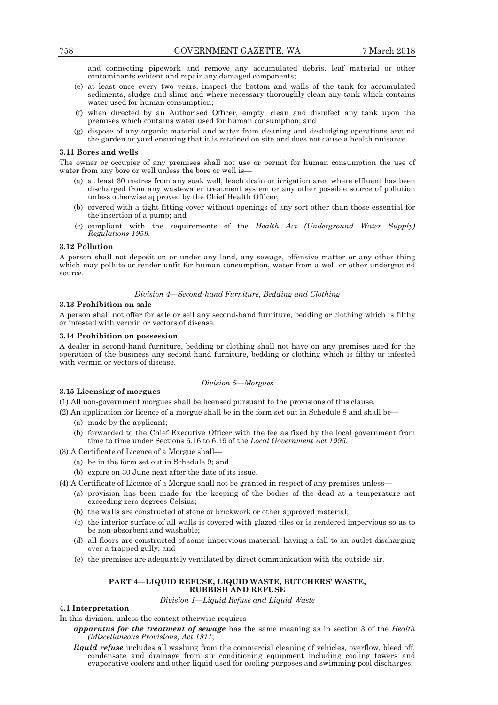and connecting pipework and remove any accumulated debris, leaf material or other contaminants evident and repair any damaged components;

- (e) at least once every two years, inspect the bottom and walls of the tank for accumulated sediments, sludge and slime and where necessary thoroughly clean any tank which contains water used for human consumption;
- (f) when directed by an Authorised Officer, empty, clean and disinfect any tank upon the premises which contains water used for human consumption; and
- (g) dispose of any organic material and water from cleaning and desludging operations around the garden or yard ensuring that it is retained on site and does not cause a health nuisance.

#### **3.11 Bores and wells**

The owner or occupier of any premises shall not use or permit for human consumption the use of water from any bore or well unless the bore or well is-

- (a) at least 30 metres from any soak well, leach drain or irrigation area where effluent has been discharged from any wastewater treatment system or any other possible source of pollution unless otherwise approved by the Chief Health Officer;
- (b) covered with a tight fitting cover without openings of any sort other than those essential for the insertion of a pump; and
- (c) compliant with the requirements of the *Health Act (Underground Water Supply) Regulations 1959*.

#### **3.12 Pollution**

A person shall not deposit on or under any land, any sewage, offensive matter or any other thing which may pollute or render unfit for human consumption, water from a well or other underground source.

## *Division 4—Second-hand Furniture, Bedding and Clothing*

#### **3.13 Prohibition on sale**

A person shall not offer for sale or sell any second-hand furniture, bedding or clothing which is filthy or infested with vermin or vectors of disease.

#### **3.14 Prohibition on possession**

A dealer in second-hand furniture, bedding or clothing shall not have on any premises used for the operation of the business any second-hand furniture, bedding or clothing which is filthy or infested with vermin or vectors of disease.

#### **3.15 Licensing of morgues**

## *Division 5—Morgues*

(1) All non-government morgues shall be licensed pursuant to the provisions of this clause.

- (2) An application for licence of a morgue shall be in the form set out in Schedule 8 and shall be—
	- (a) made by the applicant;
	- (b) forwarded to the Chief Executive Officer with the fee as fixed by the local government from time to time under Sections 6.16 to 6.19 of the *Local Government Act 1995*.
- (3) A Certificate of Licence of a Morgue shall—
	- (a) be in the form set out in Schedule 9; and
	- (b) expire on 30 June next after the date of its issue.
- (4) A Certificate of Licence of a Morgue shall not be granted in respect of any premises unless—
	- (a) provision has been made for the keeping of the bodies of the dead at a temperature not exceeding zero degrees Celsius;
	- (b) the walls are constructed of stone or brickwork or other approved material;
	- (c) the interior surface of all walls is covered with glazed tiles or is rendered impervious so as to be non-absorbent and washable;
	- (d) all floors are constructed of some impervious material, having a fall to an outlet discharging over a trapped gully; and
	- (e) the premises are adequately ventilated by direct communication with the outside air.

## **PART 4—LIQUID REFUSE, LIQUID WASTE, BUTCHERS' WASTE, RUBBISH AND REFUSE**

*Division 1—Liquid Refuse and Liquid Waste* 

## **4.1 Interpretation**

In this division, unless the context otherwise requires—

- *apparatus for the treatment of sewage* has the same meaning as in section 3 of the *Health (Miscellaneous Provisions) Act 1911*;
- *liquid refuse* includes all washing from the commercial cleaning of vehicles, overflow, bleed off, condensate and drainage from air conditioning equipment including cooling towers and evaporative coolers and other liquid used for cooling purposes and swimming pool discharges;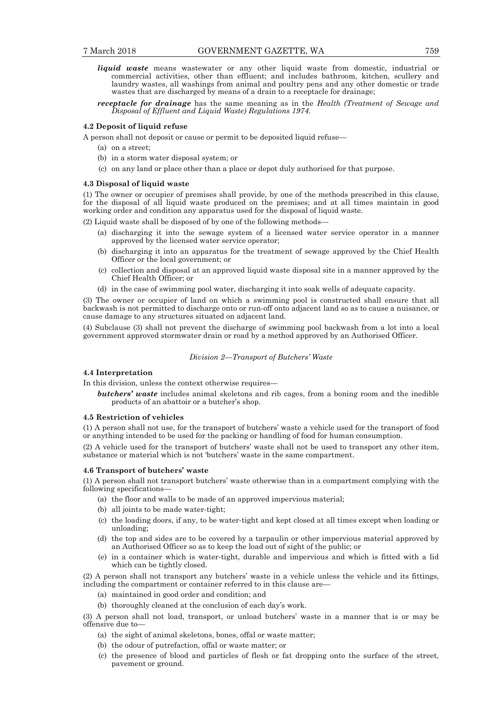*liquid waste* means wastewater or any other liquid waste from domestic, industrial or commercial activities, other than effluent; and includes bathroom, kitchen, scullery and laundry wastes, all washings from animal and poultry pens and any other domestic or trade wastes that are discharged by means of a drain to a receptacle for drainage;

*receptacle for drainage* has the same meaning as in the *Health (Treatment of Sewage and Disposal of Effluent and Liquid Waste) Regulations 1974*.

#### **4.2 Deposit of liquid refuse**

A person shall not deposit or cause or permit to be deposited liquid refuse—

- (a) on a street;
- (b) in a storm water disposal system; or
- (c) on any land or place other than a place or depot duly authorised for that purpose.

#### **4.3 Disposal of liquid waste**

(1) The owner or occupier of premises shall provide, by one of the methods prescribed in this clause, for the disposal of all liquid waste produced on the premises; and at all times maintain in good working order and condition any apparatus used for the disposal of liquid waste.

(2) Liquid waste shall be disposed of by one of the following methods—

- (a) discharging it into the sewage system of a licensed water service operator in a manner approved by the licensed water service operator;
- (b) discharging it into an apparatus for the treatment of sewage approved by the Chief Health Officer or the local government; or
- (c) collection and disposal at an approved liquid waste disposal site in a manner approved by the Chief Health Officer; or
- (d) in the case of swimming pool water, discharging it into soak wells of adequate capacity.

(3) The owner or occupier of land on which a swimming pool is constructed shall ensure that all backwash is not permitted to discharge onto or run-off onto adjacent land so as to cause a nuisance, or cause damage to any structures situated on adjacent land.

(4) Subclause (3) shall not prevent the discharge of swimming pool backwash from a lot into a local government approved stormwater drain or road by a method approved by an Authorised Officer.

## *Division 2—Transport of Butchers' Waste*

#### **4.4 Interpretation**

In this division, unless the context otherwise requires—

*butchers' waste* includes animal skeletons and rib cages, from a boning room and the inedible products of an abattoir or a butcher's shop.

#### **4.5 Restriction of vehicles**

(1) A person shall not use, for the transport of butchers' waste a vehicle used for the transport of food or anything intended to be used for the packing or handling of food for human consumption.

(2) A vehicle used for the transport of butchers' waste shall not be used to transport any other item, substance or material which is not 'butchers' waste in the same compartment.

#### **4.6 Transport of butchers' waste**

(1) A person shall not transport butchers' waste otherwise than in a compartment complying with the following specifications—

- (a) the floor and walls to be made of an approved impervious material;
- (b) all joints to be made water-tight;
- (c) the loading doors, if any, to be water-tight and kept closed at all times except when loading or unloading;
- (d) the top and sides are to be covered by a tarpaulin or other impervious material approved by an Authorised Officer so as to keep the load out of sight of the public; or
- (e) in a container which is water-tight, durable and impervious and which is fitted with a lid which can be tightly closed.

(2) A person shall not transport any butchers' waste in a vehicle unless the vehicle and its fittings, including the compartment or container referred to in this clause are—

- (a) maintained in good order and condition; and
- (b) thoroughly cleaned at the conclusion of each day's work.

(3) A person shall not load, transport, or unload butchers' waste in a manner that is or may be offensive due to—

- (a) the sight of animal skeletons, bones, offal or waste matter;
- (b) the odour of putrefaction, offal or waste matter; or
- (c) the presence of blood and particles of flesh or fat dropping onto the surface of the street, pavement or ground.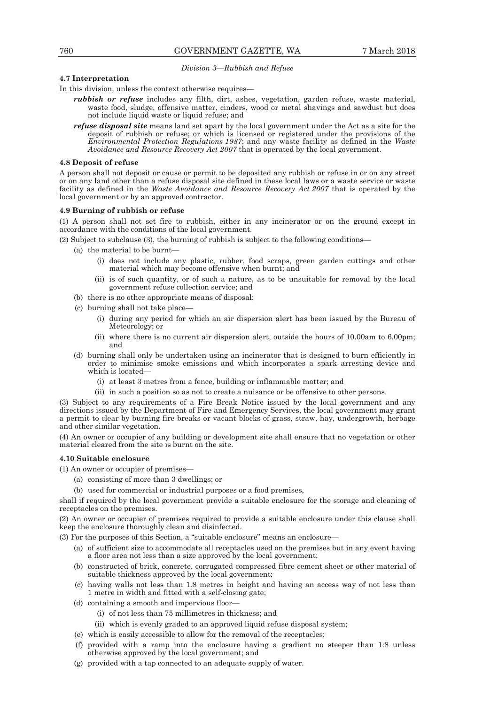#### *Division 3—Rubbish and Refuse*

## **4.7 Interpretation**

In this division, unless the context otherwise requires—

- *rubbish or refuse* includes any filth, dirt, ashes, vegetation, garden refuse, waste material, waste food, sludge, offensive matter, cinders, wood or metal shavings and sawdust but does not include liquid waste or liquid refuse; and
- *refuse disposal site* means land set apart by the local government under the Act as a site for the deposit of rubbish or refuse; or which is licensed or registered under the provisions of the *Environmental Protection Regulations 1987*; and any waste facility as defined in the *Waste Avoidance and Resource Recovery Act 2007* that is operated by the local government.

#### **4.8 Deposit of refuse**

A person shall not deposit or cause or permit to be deposited any rubbish or refuse in or on any street or on any land other than a refuse disposal site defined in these local laws or a waste service or waste facility as defined in the *Waste Avoidance and Resource Recovery Act 2007* that is operated by the local government or by an approved contractor.

#### **4.9 Burning of rubbish or refuse**

(1) A person shall not set fire to rubbish, either in any incinerator or on the ground except in accordance with the conditions of the local government.

(2) Subject to subclause (3), the burning of rubbish is subject to the following conditions—

- (a) the material to be burnt—
	- (i) does not include any plastic, rubber, food scraps, green garden cuttings and other material which may become offensive when burnt; and
	- (ii) is of such quantity, or of such a nature, as to be unsuitable for removal by the local government refuse collection service; and
- (b) there is no other appropriate means of disposal;
- (c) burning shall not take place—
	- (i) during any period for which an air dispersion alert has been issued by the Bureau of Meteorology; or
	- (ii) where there is no current air dispersion alert, outside the hours of 10.00am to 6.00pm; and
- (d) burning shall only be undertaken using an incinerator that is designed to burn efficiently in order to minimise smoke emissions and which incorporates a spark arresting device and which is located—
	- (i) at least 3 metres from a fence, building or inflammable matter; and
	- (ii) in such a position so as not to create a nuisance or be offensive to other persons.

(3) Subject to any requirements of a Fire Break Notice issued by the local government and any directions issued by the Department of Fire and Emergency Services, the local government may grant a permit to clear by burning fire breaks or vacant blocks of grass, straw, hay, undergrowth, herbage and other similar vegetation.

(4) An owner or occupier of any building or development site shall ensure that no vegetation or other material cleared from the site is burnt on the site.

#### **4.10 Suitable enclosure**

(1) An owner or occupier of premises—

- (a) consisting of more than 3 dwellings; or
- (b) used for commercial or industrial purposes or a food premises,

shall if required by the local government provide a suitable enclosure for the storage and cleaning of receptacles on the premises.

(2) An owner or occupier of premises required to provide a suitable enclosure under this clause shall keep the enclosure thoroughly clean and disinfected.

(3) For the purposes of this Section, a "suitable enclosure" means an enclosure—

- (a) of sufficient size to accommodate all receptacles used on the premises but in any event having a floor area not less than a size approved by the local government;
- (b) constructed of brick, concrete, corrugated compressed fibre cement sheet or other material of suitable thickness approved by the local government;
- (c) having walls not less than 1.8 metres in height and having an access way of not less than 1 metre in width and fitted with a self-closing gate;
- (d) containing a smooth and impervious floor—
	- (i) of not less than 75 millimetres in thickness; and
	- (ii) which is evenly graded to an approved liquid refuse disposal system;
- (e) which is easily accessible to allow for the removal of the receptacles;
- (f) provided with a ramp into the enclosure having a gradient no steeper than 1:8 unless otherwise approved by the local government; and
- (g) provided with a tap connected to an adequate supply of water.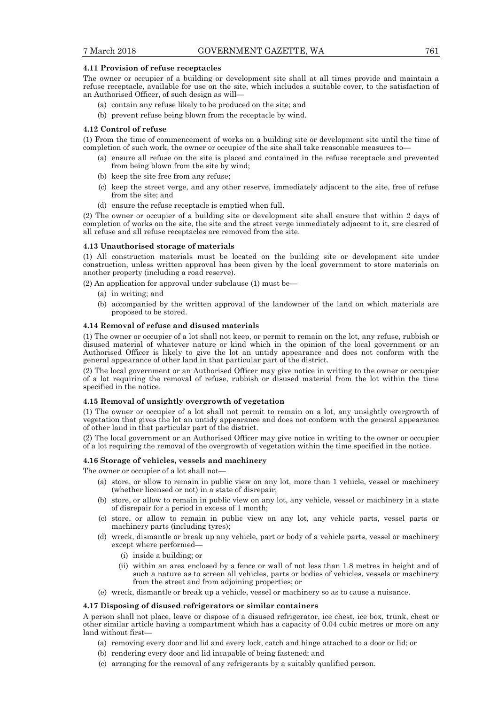#### **4.11 Provision of refuse receptacles**

The owner or occupier of a building or development site shall at all times provide and maintain a refuse receptacle, available for use on the site, which includes a suitable cover, to the satisfaction of an Authorised Officer, of such design as will—

- (a) contain any refuse likely to be produced on the site; and
- (b) prevent refuse being blown from the receptacle by wind.

#### **4.12 Control of refuse**

(1) From the time of commencement of works on a building site or development site until the time of completion of such work, the owner or occupier of the site shall take reasonable measures to—

- (a) ensure all refuse on the site is placed and contained in the refuse receptacle and prevented from being blown from the site by wind;
- (b) keep the site free from any refuse;
- (c) keep the street verge, and any other reserve, immediately adjacent to the site, free of refuse from the site; and
- (d) ensure the refuse receptacle is emptied when full.

(2) The owner or occupier of a building site or development site shall ensure that within 2 days of completion of works on the site, the site and the street verge immediately adjacent to it, are cleared of all refuse and all refuse receptacles are removed from the site.

#### **4.13 Unauthorised storage of materials**

(1) All construction materials must be located on the building site or development site under construction, unless written approval has been given by the local government to store materials on another property (including a road reserve).

(2) An application for approval under subclause (1) must be—

- (a) in writing; and
- (b) accompanied by the written approval of the landowner of the land on which materials are proposed to be stored.

### **4.14 Removal of refuse and disused materials**

(1) The owner or occupier of a lot shall not keep, or permit to remain on the lot, any refuse, rubbish or disused material of whatever nature or kind which in the opinion of the local government or an Authorised Officer is likely to give the lot an untidy appearance and does not conform with the general appearance of other land in that particular part of the district.

(2) The local government or an Authorised Officer may give notice in writing to the owner or occupier of a lot requiring the removal of refuse, rubbish or disused material from the lot within the time specified in the notice.

#### **4.15 Removal of unsightly overgrowth of vegetation**

(1) The owner or occupier of a lot shall not permit to remain on a lot, any unsightly overgrowth of vegetation that gives the lot an untidy appearance and does not conform with the general appearance of other land in that particular part of the district.

(2) The local government or an Authorised Officer may give notice in writing to the owner or occupier of a lot requiring the removal of the overgrowth of vegetation within the time specified in the notice.

#### **4.16 Storage of vehicles, vessels and machinery**

The owner or occupier of a lot shall not—

- (a) store, or allow to remain in public view on any lot, more than 1 vehicle, vessel or machinery (whether licensed or not) in a state of disrepair;
- (b) store, or allow to remain in public view on any lot, any vehicle, vessel or machinery in a state of disrepair for a period in excess of 1 month;
- (c) store, or allow to remain in public view on any lot, any vehicle parts, vessel parts or machinery parts (including tyres);
- (d) wreck, dismantle or break up any vehicle, part or body of a vehicle parts, vessel or machinery except where performed—
	- (i) inside a building; or
	- (ii) within an area enclosed by a fence or wall of not less than 1.8 metres in height and of such a nature as to screen all vehicles, parts or bodies of vehicles, vessels or machinery from the street and from adjoining properties; or
- (e) wreck, dismantle or break up a vehicle, vessel or machinery so as to cause a nuisance.

## **4.17 Disposing of disused refrigerators or similar containers**

A person shall not place, leave or dispose of a disused refrigerator, ice chest, ice box, trunk, chest or other similar article having a compartment which has a capacity of 0.04 cubic metres or more on any land without first—

- (a) removing every door and lid and every lock, catch and hinge attached to a door or lid; or
- (b) rendering every door and lid incapable of being fastened; and
- (c) arranging for the removal of any refrigerants by a suitably qualified person.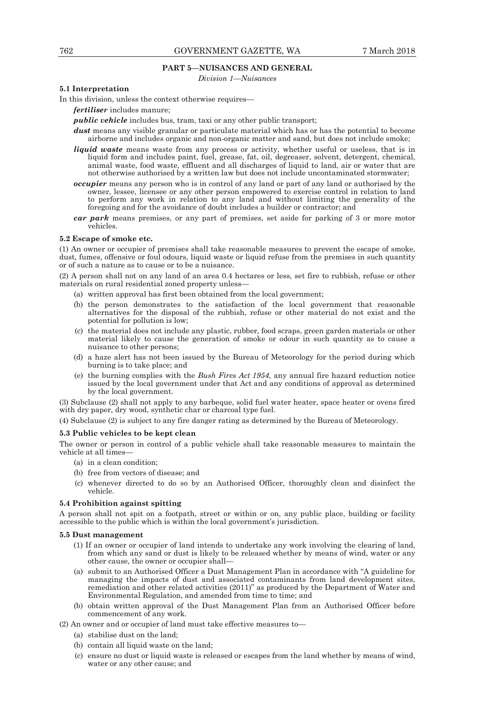## **PART 5—NUISANCES AND GENERAL**

*Division 1—Nuisances* 

## **5.1 Interpretation**

In this division, unless the context otherwise requires—

*fertiliser* includes manure;

*public vehicle* includes bus, tram, taxi or any other public transport;

- *dust* means any visible granular or particulate material which has or has the potential to become airborne and includes organic and non-organic matter and sand, but does not include smoke;
- *liquid waste* means waste from any process or activity, whether useful or useless, that is in liquid form and includes paint, fuel, grease, fat, oil, degreaser, solvent, detergent, chemical, animal waste, food waste, effluent and all discharges of liquid to land, air or water that are not otherwise authorised by a written law but does not include uncontaminated stormwater;
- *occupier* means any person who is in control of any land or part of any land or authorised by the owner, lessee, licensee or any other person empowered to exercise control in relation to land to perform any work in relation to any land and without limiting the generality of the foregoing and for the avoidance of doubt includes a builder or contractor; and
- *car park* means premises, or any part of premises, set aside for parking of 3 or more motor vehicles.

#### **5.2 Escape of smoke etc.**

(1) An owner or occupier of premises shall take reasonable measures to prevent the escape of smoke, dust, fumes, offensive or foul odours, liquid waste or liquid refuse from the premises in such quantity or of such a nature as to cause or to be a nuisance.

(2) A person shall not on any land of an area 0.4 hectares or less, set fire to rubbish, refuse or other materials on rural residential zoned property unless—

- (a) written approval has first been obtained from the local government;
- (b) the person demonstrates to the satisfaction of the local government that reasonable alternatives for the disposal of the rubbish, refuse or other material do not exist and the potential for pollution is low;
- (c) the material does not include any plastic, rubber, food scraps, green garden materials or other material likely to cause the generation of smoke or odour in such quantity as to cause a nuisance to other persons;
- (d) a haze alert has not been issued by the Bureau of Meteorology for the period during which burning is to take place; and
- (e) the burning complies with the *Bush Fires Act 1954*, any annual fire hazard reduction notice issued by the local government under that Act and any conditions of approval as determined by the local government.

(3) Subclause (2) shall not apply to any barbeque, solid fuel water heater, space heater or ovens fired with dry paper, dry wood, synthetic char or charcoal type fuel.

(4) Subclause (2) is subject to any fire danger rating as determined by the Bureau of Meteorology.

#### **5.3 Public vehicles to be kept clean**

The owner or person in control of a public vehicle shall take reasonable measures to maintain the vehicle at all times-

- (a) in a clean condition;
- (b) free from vectors of disease; and
- (c) whenever directed to do so by an Authorised Officer, thoroughly clean and disinfect the vehicle.

#### **5.4 Prohibition against spitting**

A person shall not spit on a footpath, street or within or on, any public place, building or facility accessible to the public which is within the local government's jurisdiction.

#### **5.5 Dust management**

- (1) If an owner or occupier of land intends to undertake any work involving the clearing of land, from which any sand or dust is likely to be released whether by means of wind, water or any other cause, the owner or occupier shall—
- (a) submit to an Authorised Officer a Dust Management Plan in accordance with "A guideline for managing the impacts of dust and associated contaminants from land development sites, remediation and other related activities (2011)" as produced by the Department of Water and Environmental Regulation, and amended from time to time; and
- (b) obtain written approval of the Dust Management Plan from an Authorised Officer before commencement of any work.

(2) An owner and or occupier of land must take effective measures to—

- (a) stabilise dust on the land;
- (b) contain all liquid waste on the land;
- (c) ensure no dust or liquid waste is released or escapes from the land whether by means of wind, water or any other cause; and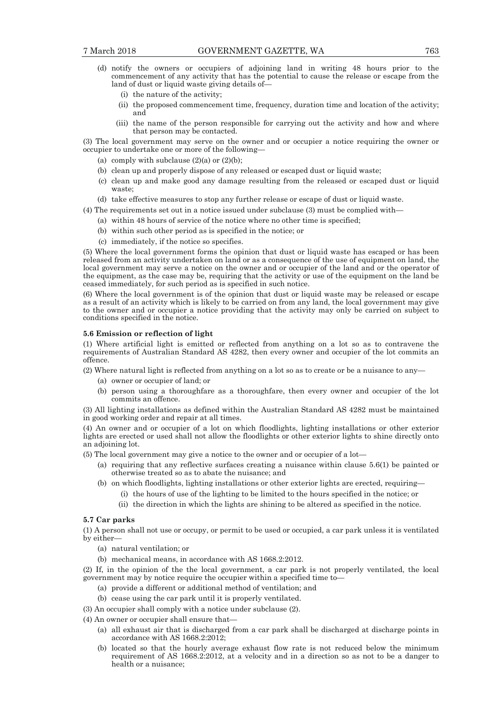- (d) notify the owners or occupiers of adjoining land in writing 48 hours prior to the commencement of any activity that has the potential to cause the release or escape from the land of dust or liquid waste giving details of—
	- (i) the nature of the activity;
	- (ii) the proposed commencement time, frequency, duration time and location of the activity; and
	- (iii) the name of the person responsible for carrying out the activity and how and where that person may be contacted.

(3) The local government may serve on the owner and or occupier a notice requiring the owner or occupier to undertake one or more of the following—

- (a) comply with subclause  $(2)(a)$  or  $(2)(b)$ ;
- (b) clean up and properly dispose of any released or escaped dust or liquid waste;
- (c) clean up and make good any damage resulting from the released or escaped dust or liquid waste;
- (d) take effective measures to stop any further release or escape of dust or liquid waste.

(4) The requirements set out in a notice issued under subclause (3) must be complied with—

- (a) within 48 hours of service of the notice where no other time is specified;
- (b) within such other period as is specified in the notice; or
- (c) immediately, if the notice so specifies.

(5) Where the local government forms the opinion that dust or liquid waste has escaped or has been released from an activity undertaken on land or as a consequence of the use of equipment on land, the local government may serve a notice on the owner and or occupier of the land and or the operator of the equipment, as the case may be, requiring that the activity or use of the equipment on the land be ceased immediately, for such period as is specified in such notice.

(6) Where the local government is of the opinion that dust or liquid waste may be released or escape as a result of an activity which is likely to be carried on from any land, the local government may give to the owner and or occupier a notice providing that the activity may only be carried on subject to conditions specified in the notice.

#### **5.6 Emission or reflection of light**

(1) Where artificial light is emitted or reflected from anything on a lot so as to contravene the requirements of Australian Standard AS 4282, then every owner and occupier of the lot commits an offence.

(2) Where natural light is reflected from anything on a lot so as to create or be a nuisance to any—

- (a) owner or occupier of land; or
- (b) person using a thoroughfare as a thoroughfare, then every owner and occupier of the lot commits an offence.

(3) All lighting installations as defined within the Australian Standard AS 4282 must be maintained in good working order and repair at all times.

(4) An owner and or occupier of a lot on which floodlights, lighting installations or other exterior lights are erected or used shall not allow the floodlights or other exterior lights to shine directly onto an adjoining lot.

(5) The local government may give a notice to the owner and or occupier of a lot—

- (a) requiring that any reflective surfaces creating a nuisance within clause 5.6(1) be painted or otherwise treated so as to abate the nuisance; and
- (b) on which floodlights, lighting installations or other exterior lights are erected, requiring— (i) the hours of use of the lighting to be limited to the hours specified in the notice; or
	- (ii) the direction in which the lights are shining to be altered as specified in the notice.

#### **5.7 Car parks**

(1) A person shall not use or occupy, or permit to be used or occupied, a car park unless it is ventilated by either—

- (a) natural ventilation; or
- (b) mechanical means, in accordance with AS 1668.2:2012.

(2) If, in the opinion of the the local government, a car park is not properly ventilated, the local government may by notice require the occupier within a specified time to—

- (a) provide a different or additional method of ventilation; and
- (b) cease using the car park until it is properly ventilated.

(3) An occupier shall comply with a notice under subclause (2).

(4) An owner or occupier shall ensure that—

- (a) all exhaust air that is discharged from a car park shall be discharged at discharge points in accordance with AS 1668.2:2012;
- (b) located so that the hourly average exhaust flow rate is not reduced below the minimum requirement of AS 1668.2:2012, at a velocity and in a direction so as not to be a danger to health or a nuisance;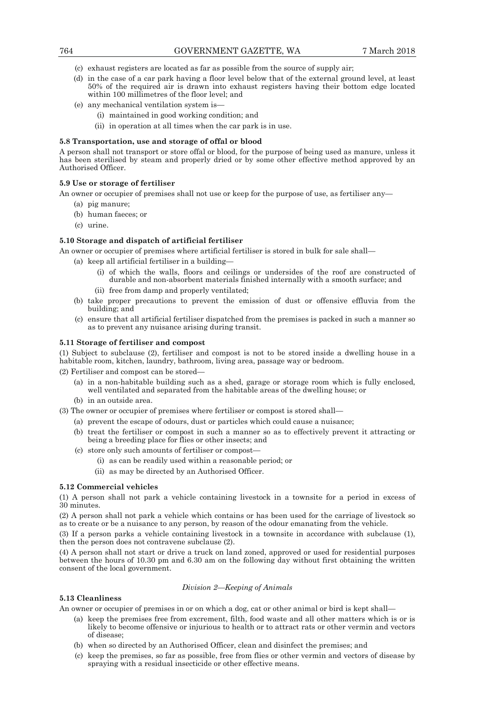- (c) exhaust registers are located as far as possible from the source of supply air;
- (d) in the case of a car park having a floor level below that of the external ground level, at least 50% of the required air is drawn into exhaust registers having their bottom edge located within 100 millimetres of the floor level; and
- (e) any mechanical ventilation system is—
	- (i) maintained in good working condition; and
	- (ii) in operation at all times when the car park is in use.

## **5.8 Transportation, use and storage of offal or blood**

A person shall not transport or store offal or blood, for the purpose of being used as manure, unless it has been sterilised by steam and properly dried or by some other effective method approved by an Authorised Officer.

## **5.9 Use or storage of fertiliser**

An owner or occupier of premises shall not use or keep for the purpose of use, as fertiliser any—

- (a) pig manure;
- (b) human faeces; or
- (c) urine.

## **5.10 Storage and dispatch of artificial fertiliser**

An owner or occupier of premises where artificial fertiliser is stored in bulk for sale shall—

- (a) keep all artificial fertiliser in a building—
	- (i) of which the walls, floors and ceilings or undersides of the roof are constructed of durable and non-absorbent materials finished internally with a smooth surface; and
	- (ii) free from damp and properly ventilated;
- (b) take proper precautions to prevent the emission of dust or offensive effluvia from the building; and
- (c) ensure that all artificial fertiliser dispatched from the premises is packed in such a manner so as to prevent any nuisance arising during transit.

## **5.11 Storage of fertiliser and compost**

(1) Subject to subclause (2), fertiliser and compost is not to be stored inside a dwelling house in a habitable room, kitchen, laundry, bathroom, living area, passage way or bedroom.

 $(2)$  Fertiliser and compost can be stored-

- (a) in a non-habitable building such as a shed, garage or storage room which is fully enclosed, well ventilated and separated from the habitable areas of the dwelling house; or
- (b) in an outside area.

(3) The owner or occupier of premises where fertiliser or compost is stored shall—

- (a) prevent the escape of odours, dust or particles which could cause a nuisance;
- (b) treat the fertiliser or compost in such a manner so as to effectively prevent it attracting or being a breeding place for flies or other insects; and
- (c) store only such amounts of fertiliser or compost—
	- (i) as can be readily used within a reasonable period; or
	- (ii) as may be directed by an Authorised Officer.

## **5.12 Commercial vehicles**

(1) A person shall not park a vehicle containing livestock in a townsite for a period in excess of 30 minutes.

(2) A person shall not park a vehicle which contains or has been used for the carriage of livestock so as to create or be a nuisance to any person, by reason of the odour emanating from the vehicle.

(3) If a person parks a vehicle containing livestock in a townsite in accordance with subclause (1), then the person does not contravene subclause (2).

(4) A person shall not start or drive a truck on land zoned, approved or used for residential purposes between the hours of 10.30 pm and 6.30 am on the following day without first obtaining the written consent of the local government.

## *Division 2—Keeping of Animals*

#### **5.13 Cleanliness**

An owner or occupier of premises in or on which a dog, cat or other animal or bird is kept shall—

- (a) keep the premises free from excrement, filth, food waste and all other matters which is or is likely to become offensive or injurious to health or to attract rats or other vermin and vectors of disease;
- (b) when so directed by an Authorised Officer, clean and disinfect the premises; and
- (c) keep the premises, so far as possible, free from flies or other vermin and vectors of disease by spraying with a residual insecticide or other effective means.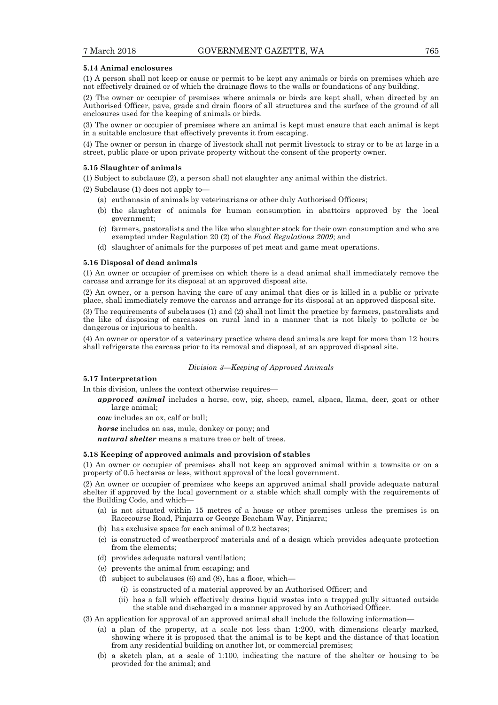#### **5.14 Animal enclosures**

(1) A person shall not keep or cause or permit to be kept any animals or birds on premises which are not effectively drained or of which the drainage flows to the walls or foundations of any building.

(2) The owner or occupier of premises where animals or birds are kept shall, when directed by an Authorised Officer, pave, grade and drain floors of all structures and the surface of the ground of all enclosures used for the keeping of animals or birds.

(3) The owner or occupier of premises where an animal is kept must ensure that each animal is kept in a suitable enclosure that effectively prevents it from escaping.

(4) The owner or person in charge of livestock shall not permit livestock to stray or to be at large in a street, public place or upon private property without the consent of the property owner.

#### **5.15 Slaughter of animals**

(1) Subject to subclause (2), a person shall not slaughter any animal within the district.

- (2) Subclause (1) does not apply to—
	- (a) euthanasia of animals by veterinarians or other duly Authorised Officers;
	- (b) the slaughter of animals for human consumption in abattoirs approved by the local government;
	- (c) farmers, pastoralists and the like who slaughter stock for their own consumption and who are exempted under Regulation 20 (2) of the *Food Regulations 2009*; and
	- (d) slaughter of animals for the purposes of pet meat and game meat operations.

#### **5.16 Disposal of dead animals**

(1) An owner or occupier of premises on which there is a dead animal shall immediately remove the carcass and arrange for its disposal at an approved disposal site.

(2) An owner, or a person having the care of any animal that dies or is killed in a public or private place, shall immediately remove the carcass and arrange for its disposal at an approved disposal site.

(3) The requirements of subclauses (1) and (2) shall not limit the practice by farmers, pastoralists and the like of disposing of carcasses on rural land in a manner that is not likely to pollute or be dangerous or injurious to health.

(4) An owner or operator of a veterinary practice where dead animals are kept for more than 12 hours shall refrigerate the carcass prior to its removal and disposal, at an approved disposal site.

#### *Division 3—Keeping of Approved Animals*

#### **5.17 Interpretation**

In this division, unless the context otherwise requires—

*approved animal* includes a horse, cow, pig, sheep, camel, alpaca, llama, deer, goat or other large animal;

*cow* includes an ox, calf or bull;

*horse* includes an ass, mule, donkey or pony; and

*natural shelter* means a mature tree or belt of trees.

#### **5.18 Keeping of approved animals and provision of stables**

(1) An owner or occupier of premises shall not keep an approved animal within a townsite or on a property of 0.5 hectares or less, without approval of the local government.

(2) An owner or occupier of premises who keeps an approved animal shall provide adequate natural shelter if approved by the local government or a stable which shall comply with the requirements of the Building Code, and which—

- (a) is not situated within 15 metres of a house or other premises unless the premises is on Racecourse Road, Pinjarra or George Beacham Way, Pinjarra;
- (b) has exclusive space for each animal of 0.2 hectares;
- (c) is constructed of weatherproof materials and of a design which provides adequate protection from the elements;
- (d) provides adequate natural ventilation;
- (e) prevents the animal from escaping; and
- (f) subject to subclauses  $(6)$  and  $(8)$ , has a floor, which—
	- (i) is constructed of a material approved by an Authorised Officer; and
	- (ii) has a fall which effectively drains liquid wastes into a trapped gully situated outside the stable and discharged in a manner approved by an Authorised Officer.
- (3) An application for approval of an approved animal shall include the following information—
	- (a) a plan of the property, at a scale not less than 1:200, with dimensions clearly marked, showing where it is proposed that the animal is to be kept and the distance of that location from any residential building on another lot, or commercial premises;
	- (b) a sketch plan, at a scale of 1:100, indicating the nature of the shelter or housing to be provided for the animal; and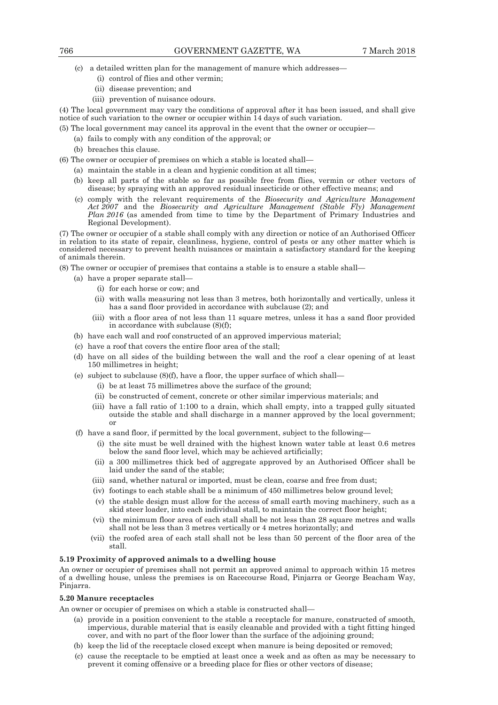(c) a detailed written plan for the management of manure which addresses—

- (i) control of flies and other vermin;
- (ii) disease prevention; and
- (iii) prevention of nuisance odours.

(4) The local government may vary the conditions of approval after it has been issued, and shall give notice of such variation to the owner or occupier within 14 days of such variation.

(5) The local government may cancel its approval in the event that the owner or occupier—

- (a) fails to comply with any condition of the approval; or
- (b) breaches this clause.

(6) The owner or occupier of premises on which a stable is located shall—

- (a) maintain the stable in a clean and hygienic condition at all times;
- (b) keep all parts of the stable so far as possible free from flies, vermin or other vectors of disease; by spraying with an approved residual insecticide or other effective means; and
- (c) comply with the relevant requirements of the *Biosecurity and Agriculture Management Act 2007* and the *Biosecurity and Agriculture Management (Stable Fly) Management Plan 2016* (as amended from time to time by the Department of Primary Industries and Regional Development).

(7) The owner or occupier of a stable shall comply with any direction or notice of an Authorised Officer in relation to its state of repair, cleanliness, hygiene, control of pests or any other matter which is considered necessary to prevent health nuisances or maintain a satisfactory standard for the keeping of animals therein.

(8) The owner or occupier of premises that contains a stable is to ensure a stable shall—

- (a) have a proper separate stall—
	- (i) for each horse or cow; and
	- (ii) with walls measuring not less than 3 metres, both horizontally and vertically, unless it has a sand floor provided in accordance with subclause (2); and
	- (iii) with a floor area of not less than 11 square metres, unless it has a sand floor provided in accordance with subclause (8)(f);
- (b) have each wall and roof constructed of an approved impervious material;
- (c) have a roof that covers the entire floor area of the stall;
- (d) have on all sides of the building between the wall and the roof a clear opening of at least 150 millimetres in height;
- (e) subject to subclause  $(8)(f)$ , have a floor, the upper surface of which shall—
	- (i) be at least 75 millimetres above the surface of the ground;
	- (ii) be constructed of cement, concrete or other similar impervious materials; and
	- (iii) have a fall ratio of 1:100 to a drain, which shall empty, into a trapped gully situated outside the stable and shall discharge in a manner approved by the local government; or
- (f) have a sand floor, if permitted by the local government, subject to the following—
	- (i) the site must be well drained with the highest known water table at least 0.6 metres below the sand floor level, which may be achieved artificially;
	- (ii) a 300 millimetres thick bed of aggregate approved by an Authorised Officer shall be laid under the sand of the stable;
	- (iii) sand, whether natural or imported, must be clean, coarse and free from dust;
	- (iv) footings to each stable shall be a minimum of 450 millimetres below ground level;
	- (v) the stable design must allow for the access of small earth moving machinery, such as a skid steer loader, into each individual stall, to maintain the correct floor height;
	- (vi) the minimum floor area of each stall shall be not less than 28 square metres and walls shall not be less than 3 metres vertically or 4 metres horizontally; and
	- (vii) the roofed area of each stall shall not be less than 50 percent of the floor area of the stall.

#### **5.19 Proximity of approved animals to a dwelling house**

An owner or occupier of premises shall not permit an approved animal to approach within 15 metres of a dwelling house, unless the premises is on Racecourse Road, Pinjarra or George Beacham Way, Pinjarra.

#### **5.20 Manure receptacles**

An owner or occupier of premises on which a stable is constructed shall—

- (a) provide in a position convenient to the stable a receptacle for manure, constructed of smooth, impervious, durable material that is easily cleanable and provided with a tight fitting hinged cover, and with no part of the floor lower than the surface of the adjoining ground;
- (b) keep the lid of the receptacle closed except when manure is being deposited or removed;
- (c) cause the receptacle to be emptied at least once a week and as often as may be necessary to prevent it coming offensive or a breeding place for flies or other vectors of disease;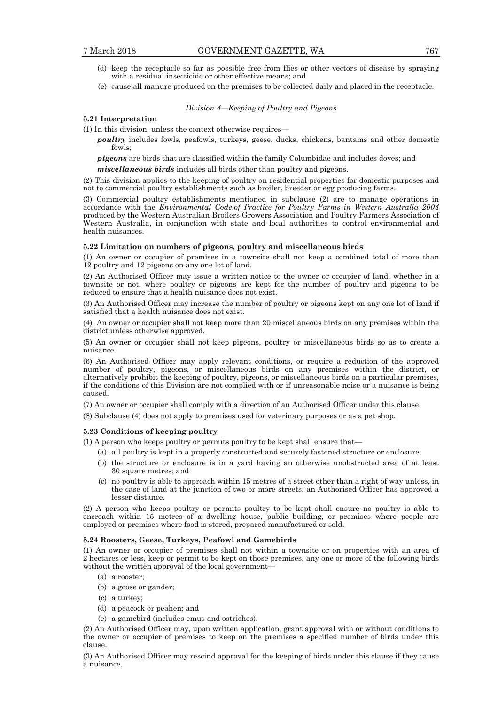- (d) keep the receptacle so far as possible free from flies or other vectors of disease by spraying with a residual insecticide or other effective means; and
- (e) cause all manure produced on the premises to be collected daily and placed in the receptacle.

#### *Division 4—Keeping of Poultry and Pigeons*

## **5.21 Interpretation**

(1) In this division, unless the context otherwise requires—

*poultry* includes fowls, peafowls, turkeys, geese, ducks, chickens, bantams and other domestic fowls;

*pigeons* are birds that are classified within the family Columbidae and includes doves; and

*miscellaneous birds* includes all birds other than poultry and pigeons.

(2) This division applies to the keeping of poultry on residential properties for domestic purposes and not to commercial poultry establishments such as broiler, breeder or egg producing farms.

(3) Commercial poultry establishments mentioned in subclause (2) are to manage operations in accordance with the *Environmental Code of Practice for Poultry Farms in Western Australia 2004* produced by the Western Australian Broilers Growers Association and Poultry Farmers Association of Western Australia, in conjunction with state and local authorities to control environmental and health nuisances.

#### **5.22 Limitation on numbers of pigeons, poultry and miscellaneous birds**

(1) An owner or occupier of premises in a townsite shall not keep a combined total of more than 12 poultry and 12 pigeons on any one lot of land.

(2) An Authorised Officer may issue a written notice to the owner or occupier of land, whether in a townsite or not, where poultry or pigeons are kept for the number of poultry and pigeons to be reduced to ensure that a health nuisance does not exist.

(3) An Authorised Officer may increase the number of poultry or pigeons kept on any one lot of land if satisfied that a health nuisance does not exist.

(4) An owner or occupier shall not keep more than 20 miscellaneous birds on any premises within the district unless otherwise approved.

(5) An owner or occupier shall not keep pigeons, poultry or miscellaneous birds so as to create a nuisance.

(6) An Authorised Officer may apply relevant conditions, or require a reduction of the approved number of poultry, pigeons, or miscellaneous birds on any premises within the district, or alternatively prohibit the keeping of poultry, pigeons, or miscellaneous birds on a particular premises, if the conditions of this Division are not complied with or if unreasonable noise or a nuisance is being caused.

(7) An owner or occupier shall comply with a direction of an Authorised Officer under this clause.

(8) Subclause (4) does not apply to premises used for veterinary purposes or as a pet shop.

#### **5.23 Conditions of keeping poultry**

(1) A person who keeps poultry or permits poultry to be kept shall ensure that—

- (a) all poultry is kept in a properly constructed and securely fastened structure or enclosure;
- (b) the structure or enclosure is in a yard having an otherwise unobstructed area of at least 30 square metres; and
- (c) no poultry is able to approach within 15 metres of a street other than a right of way unless, in the case of land at the junction of two or more streets, an Authorised Officer has approved a lesser distance.

(2) A person who keeps poultry or permits poultry to be kept shall ensure no poultry is able to encroach within 15 metres of a dwelling house, public building, or premises where people are employed or premises where food is stored, prepared manufactured or sold.

#### **5.24 Roosters, Geese, Turkeys, Peafowl and Gamebirds**

(1) An owner or occupier of premises shall not within a townsite or on properties with an area of 2 hectares or less, keep or permit to be kept on those premises, any one or more of the following birds without the written approval of the local government—

- (a) a rooster;
- (b) a goose or gander;
- (c) a turkey;
- (d) a peacock or peahen; and
- (e) a gamebird (includes emus and ostriches).

(2) An Authorised Officer may, upon written application, grant approval with or without conditions to the owner or occupier of premises to keep on the premises a specified number of birds under this clause.

(3) An Authorised Officer may rescind approval for the keeping of birds under this clause if they cause a nuisance.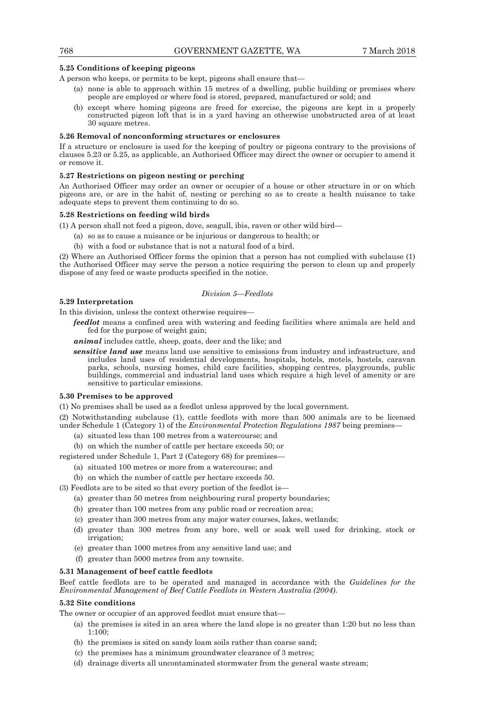## **5.25 Conditions of keeping pigeons**

A person who keeps, or permits to be kept, pigeons shall ensure that—

- (a) none is able to approach within 15 metres of a dwelling, public building or premises where people are employed or where food is stored, prepared, manufactured or sold; and
- (b) except where homing pigeons are freed for exercise, the pigeons are kept in a properly constructed pigeon loft that is in a yard having an otherwise unobstructed area of at least 30 square metres.

#### **5.26 Removal of nonconforming structures or enclosures**

If a structure or enclosure is used for the keeping of poultry or pigeons contrary to the provisions of clauses 5.23 or 5.25, as applicable, an Authorised Officer may direct the owner or occupier to amend it or remove it.

#### **5.27 Restrictions on pigeon nesting or perching**

An Authorised Officer may order an owner or occupier of a house or other structure in or on which pigeons are, or are in the habit of, nesting or perching so as to create a health nuisance to take adequate steps to prevent them continuing to do so.

#### **5.28 Restrictions on feeding wild birds**

(1) A person shall not feed a pigeon, dove, seagull, ibis, raven or other wild bird—

- (a) so as to cause a nuisance or be injurious or dangerous to health; or
- (b) with a food or substance that is not a natural food of a bird.

(2) Where an Authorised Officer forms the opinion that a person has not complied with subclause (1) the Authorised Officer may serve the person a notice requiring the person to clean up and properly dispose of any feed or waste products specified in the notice.

#### *Division 5—Feedlots*

#### **5.29 Interpretation**

In this division, unless the context otherwise requires—

*feedlot* means a confined area with watering and feeding facilities where animals are held and fed for the purpose of weight gain;

*animal* includes cattle, sheep, goats, deer and the like; and

*sensitive land use* means land use sensitive to emissions from industry and infrastructure, and includes land uses of residential developments, hospitals, hotels, motels, hostels, caravan parks, schools, nursing homes, child care facilities, shopping centres, playgrounds, public buildings, commercial and industrial land uses which require a high level of amenity or are sensitive to particular emissions.

#### **5.30 Premises to be approved**

(1) No premises shall be used as a feedlot unless approved by the local government*.* 

(2) Notwithstanding subclause (1), cattle feedlots with more than 500 animals are to be licensed under Schedule 1 (Category 1) of the *Environmental Protection Regulations 1987* being premises—

- (a) situated less than 100 metres from a watercourse; and
- (b) on which the number of cattle per hectare exceeds 50; or

registered under Schedule 1, Part 2 (Category 68) for premises—

- (a) situated 100 metres or more from a watercourse; and
- (b) on which the number of cattle per hectare exceeds 50.

(3) Feedlots are to be sited so that every portion of the feedlot is—

- (a) greater than 50 metres from neighbouring rural property boundaries;
- (b) greater than 100 metres from any public road or recreation area;
- (c) greater than 300 metres from any major water courses, lakes, wetlands;
- (d) greater than 300 metres from any bore, well or soak well used for drinking, stock or irrigation;
- (e) greater than 1000 metres from any sensitive land use; and
- (f) greater than 5000 metres from any townsite.

#### **5.31 Management of beef cattle feedlots**

Beef cattle feedlots are to be operated and managed in accordance with the *Guidelines for the Environmental Management of Beef Cattle Feedlots in Western Australia (2004)*.

#### **5.32 Site conditions**

The owner or occupier of an approved feedlot must ensure that—

- (a) the premises is sited in an area where the land slope is no greater than 1:20 but no less than 1:100;
- (b) the premises is sited on sandy loam soils rather than coarse sand;
- (c) the premises has a minimum groundwater clearance of 3 metres;
- (d) drainage diverts all uncontaminated stormwater from the general waste stream;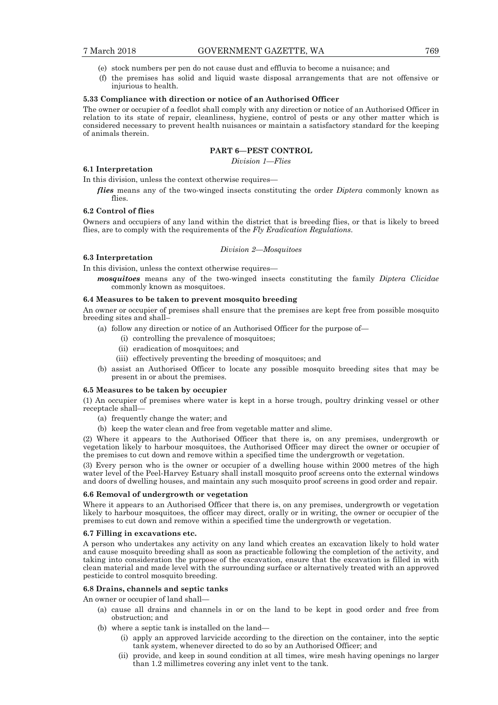- (e) stock numbers per pen do not cause dust and effluvia to become a nuisance; and
- (f) the premises has solid and liquid waste disposal arrangements that are not offensive or injurious to health.

#### **5.33 Compliance with direction or notice of an Authorised Officer**

The owner or occupier of a feedlot shall comply with any direction or notice of an Authorised Officer in relation to its state of repair, cleanliness, hygiene, control of pests or any other matter which is considered necessary to prevent health nuisances or maintain a satisfactory standard for the keeping of animals therein.

## **PART 6—PEST CONTROL**

*Division 1—Flies* 

## **6.1 Interpretation**

In this division, unless the context otherwise requires—

*flies* means any of the two-winged insects constituting the order *Diptera* commonly known as flies.

#### **6.2 Control of flies**

**6.3 Interpretation** 

Owners and occupiers of any land within the district that is breeding flies, or that is likely to breed flies, are to comply with the requirements of the *Fly Eradication Regulations*.

#### *Division 2—Mosquitoes*

In this division, unless the context otherwise requires—

*mosquitoes* means any of the two-winged insects constituting the family *Diptera Clicidae* commonly known as mosquitoes.

#### **6.4 Measures to be taken to prevent mosquito breeding**

An owner or occupier of premises shall ensure that the premises are kept free from possible mosquito breeding sites and shall–

- (a) follow any direction or notice of an Authorised Officer for the purpose of—
	- (i) controlling the prevalence of mosquitoes;
	- (ii) eradication of mosquitoes; and
	- (iii) effectively preventing the breeding of mosquitoes; and
- (b) assist an Authorised Officer to locate any possible mosquito breeding sites that may be present in or about the premises.

#### **6.5 Measures to be taken by occupier**

(1) An occupier of premises where water is kept in a horse trough, poultry drinking vessel or other receptacle shall—

- (a) frequently change the water; and
- (b) keep the water clean and free from vegetable matter and slime.

(2) Where it appears to the Authorised Officer that there is, on any premises, undergrowth or vegetation likely to harbour mosquitoes, the Authorised Officer may direct the owner or occupier of the premises to cut down and remove within a specified time the undergrowth or vegetation.

(3) Every person who is the owner or occupier of a dwelling house within 2000 metres of the high water level of the Peel-Harvey Estuary shall install mosquito proof screens onto the external windows and doors of dwelling houses, and maintain any such mosquito proof screens in good order and repair.

#### **6.6 Removal of undergrowth or vegetation**

Where it appears to an Authorised Officer that there is, on any premises, undergrowth or vegetation likely to harbour mosquitoes, the officer may direct, orally or in writing, the owner or occupier of the premises to cut down and remove within a specified time the undergrowth or vegetation.

#### **6.7 Filling in excavations etc.**

A person who undertakes any activity on any land which creates an excavation likely to hold water and cause mosquito breeding shall as soon as practicable following the completion of the activity, and taking into consideration the purpose of the excavation, ensure that the excavation is filled in with clean material and made level with the surrounding surface or alternatively treated with an approved pesticide to control mosquito breeding.

#### **6.8 Drains, channels and septic tanks**

An owner or occupier of land shall—

- (a) cause all drains and channels in or on the land to be kept in good order and free from obstruction; and
- (b) where a septic tank is installed on the land—
	- (i) apply an approved larvicide according to the direction on the container, into the septic tank system, whenever directed to do so by an Authorised Officer; and
	- (ii) provide, and keep in sound condition at all times, wire mesh having openings no larger than 1.2 millimetres covering any inlet vent to the tank.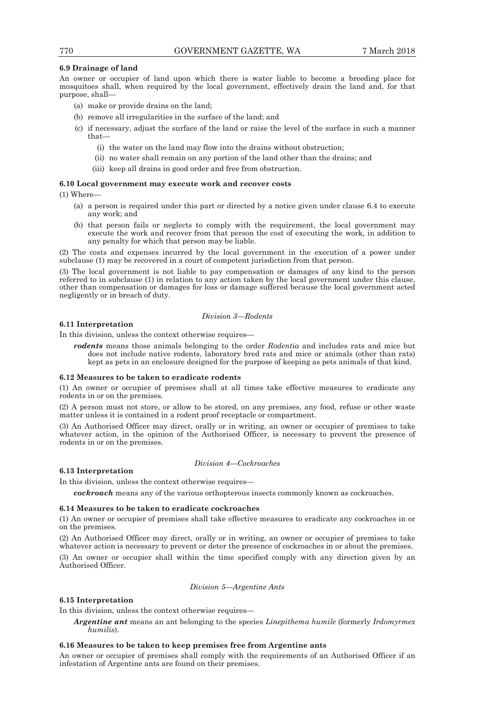## **6.9 Drainage of land**

An owner or occupier of land upon which there is water liable to become a breeding place for mosquitoes shall, when required by the local government, effectively drain the land and, for that purpose, shall—

- (a) make or provide drains on the land;
- (b) remove all irregularities in the surface of the land; and
- (c) if necessary, adjust the surface of the land or raise the level of the surface in such a manner that—
	- (i) the water on the land may flow into the drains without obstruction;
	- (ii) no water shall remain on any portion of the land other than the drains; and
	- (iii) keep all drains in good order and free from obstruction.

#### **6.10 Local government may execute work and recover costs**

(1) Where—

- (a) a person is required under this part or directed by a notice given under clause 6.4 to execute any work; and
- (b) that person fails or neglects to comply with the requirement, the local government may execute the work and recover from that person the cost of executing the work, in addition to any penalty for which that person may be liable.

(2) The costs and expenses incurred by the local government in the execution of a power under subclause (1) may be recovered in a court of competent jurisdiction from that person.

(3) The local government is not liable to pay compensation or damages of any kind to the person referred to in subclause (1) in relation to any action taken by the local government under this clause, other than compensation or damages for loss or damage suffered because the local government acted negligently or in breach of duty.

#### *Division 3—Rodents*

## **6.11 Interpretation**

In this division, unless the context otherwise requires—

*rodents* means those animals belonging to the order *Rodentia* and includes rats and mice but does not include native rodents, laboratory bred rats and mice or animals (other than rats) kept as pets in an enclosure designed for the purpose of keeping as pets animals of that kind.

#### **6.12 Measures to be taken to eradicate rodents**

(1) An owner or occupier of premises shall at all times take effective measures to eradicate any rodents in or on the premises.

(2) A person must not store, or allow to be stored, on any premises, any food, refuse or other waste matter unless it is contained in a rodent proof receptacle or compartment.

(3) An Authorised Officer may direct, orally or in writing, an owner or occupier of premises to take whatever action, in the opinion of the Authorised Officer, is necessary to prevent the presence of rodents in or on the premises.

*Division 4—Cockroaches* 

#### **6.13 Interpretation**

In this division, unless the context otherwise requires—

*cockroach* means any of the various orthopterous insects commonly known as cockroaches.

#### **6.14 Measures to be taken to eradicate cockroaches**

(1) An owner or occupier of premises shall take effective measures to eradicate any cockroaches in or on the premises.

(2) An Authorised Officer may direct, orally or in writing, an owner or occupier of premises to take whatever action is necessary to prevent or deter the presence of cockroaches in or about the premises.

(3) An owner or occupier shall within the time specified comply with any direction given by an Authorised Officer.

## *Division 5—Argentine Ants*

## **6.15 Interpretation**

In this division, unless the context otherwise requires—

*Argentine ant* means an ant belonging to the species *Linepithema humile* (formerly *Irdomyrmex humilis*).

#### **6.16 Measures to be taken to keep premises free from Argentine ants**

An owner or occupier of premises shall comply with the requirements of an Authorised Officer if an infestation of Argentine ants are found on their premises.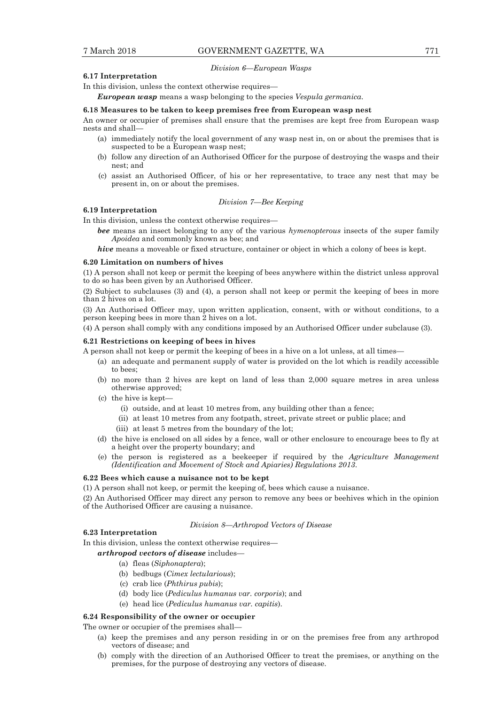#### *Division 6—European Wasps*

## **6.17 Interpretation**

In this division, unless the context otherwise requires—

*European wasp* means a wasp belonging to the species *Vespula germanica*.

#### **6.18 Measures to be taken to keep premises free from European wasp nest**

An owner or occupier of premises shall ensure that the premises are kept free from European wasp nests and shall—

- (a) immediately notify the local government of any wasp nest in, on or about the premises that is suspected to be a European wasp nest;
- (b) follow any direction of an Authorised Officer for the purpose of destroying the wasps and their nest; and
- (c) assist an Authorised Officer, of his or her representative, to trace any nest that may be present in, on or about the premises.

#### *Division 7—Bee Keeping*

## **6.19 Interpretation**

In this division, unless the context otherwise requires—

- *bee* means an insect belonging to any of the various *hymenopterous* insects of the super family *Apoidea* and commonly known as bee; and
- *hive* means a moveable or fixed structure, container or object in which a colony of bees is kept.

#### **6.20 Limitation on numbers of hives**

(1) A person shall not keep or permit the keeping of bees anywhere within the district unless approval to do so has been given by an Authorised Officer.

(2) Subject to subclauses (3) and (4), a person shall not keep or permit the keeping of bees in more than 2 hives on a lot.

(3) An Authorised Officer may, upon written application, consent, with or without conditions, to a person keeping bees in more than 2 hives on a lot.

(4) A person shall comply with any conditions imposed by an Authorised Officer under subclause (3).

#### **6.21 Restrictions on keeping of bees in hives**

A person shall not keep or permit the keeping of bees in a hive on a lot unless, at all times—

- (a) an adequate and permanent supply of water is provided on the lot which is readily accessible to bees;
- (b) no more than 2 hives are kept on land of less than 2,000 square metres in area unless otherwise approved;
- (c) the hive is kept—
	- (i) outside, and at least 10 metres from, any building other than a fence;
	- (ii) at least 10 metres from any footpath, street, private street or public place; and
	- (iii) at least 5 metres from the boundary of the lot;
- (d) the hive is enclosed on all sides by a fence, wall or other enclosure to encourage bees to fly at a height over the property boundary; and
- (e) the person is registered as a beekeeper if required by the *Agriculture Management (Identification and Movement of Stock and Apiaries) Regulations 2013*.

#### **6.22 Bees which cause a nuisance not to be kept**

(1) A person shall not keep, or permit the keeping of, bees which cause a nuisance.

(2) An Authorised Officer may direct any person to remove any bees or beehives which in the opinion of the Authorised Officer are causing a nuisance.

#### *Division 8—Arthropod Vectors of Disease*

## **6.23 Interpretation**

In this division, unless the context otherwise requires—

## *arthropod vectors of disease* includes—

- (a) fleas (*Siphonaptera*);
- (b) bedbugs (*Cimex lectularious*);
- (c) crab lice (*Phthirus pubis*);
- (d) body lice (*Pediculus humanus var. corporis*); and
- (e) head lice (*Pediculus humanus var. capitis*).

#### **6.24 Responsibility of the owner or occupier**

The owner or occupier of the premises shall—

- (a) keep the premises and any person residing in or on the premises free from any arthropod vectors of disease; and
- (b) comply with the direction of an Authorised Officer to treat the premises, or anything on the premises, for the purpose of destroying any vectors of disease.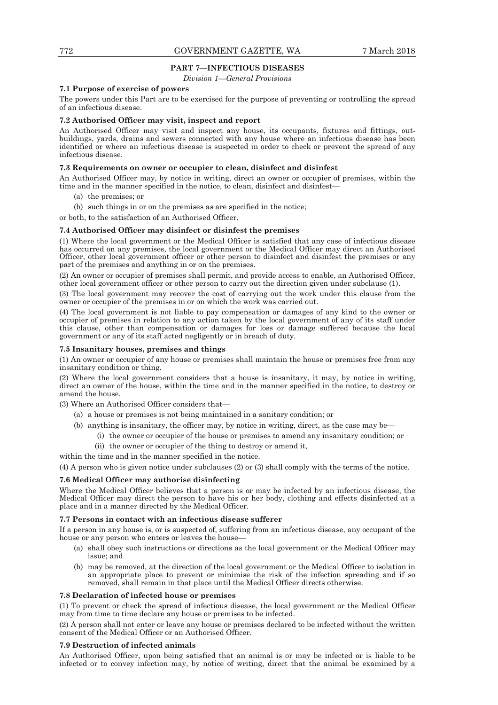## **PART 7—INFECTIOUS DISEASES**

*Division 1—General Provisions* 

#### **7.1 Purpose of exercise of powers**

The powers under this Part are to be exercised for the purpose of preventing or controlling the spread of an infectious disease.

## **7.2 Authorised Officer may visit, inspect and report**

An Authorised Officer may visit and inspect any house, its occupants, fixtures and fittings, outbuildings, yards, drains and sewers connected with any house where an infectious disease has been identified or where an infectious disease is suspected in order to check or prevent the spread of any infectious disease.

#### **7.3 Requirements on owner or occupier to clean, disinfect and disinfest**

An Authorised Officer may, by notice in writing, direct an owner or occupier of premises, within the time and in the manner specified in the notice, to clean, disinfect and disinfest—

- (a) the premises; or
- (b) such things in or on the premises as are specified in the notice;

or both, to the satisfaction of an Authorised Officer.

## **7.4 Authorised Officer may disinfect or disinfest the premises**

(1) Where the local government or the Medical Officer is satisfied that any case of infectious disease has occurred on any premises, the local government or the Medical Officer may direct an Authorised Officer, other local government officer or other person to disinfect and disinfest the premises or any part of the premises and anything in or on the premises.

(2) An owner or occupier of premises shall permit, and provide access to enable, an Authorised Officer, other local government officer or other person to carry out the direction given under subclause (1).

(3) The local government may recover the cost of carrying out the work under this clause from the owner or occupier of the premises in or on which the work was carried out.

(4) The local government is not liable to pay compensation or damages of any kind to the owner or occupier of premises in relation to any action taken by the local government of any of its staff under this clause, other than compensation or damages for loss or damage suffered because the local government or any of its staff acted negligently or in breach of duty.

#### **7.5 Insanitary houses, premises and things**

(1) An owner or occupier of any house or premises shall maintain the house or premises free from any insanitary condition or thing.

(2) Where the local government considers that a house is insanitary, it may, by notice in writing, direct an owner of the house, within the time and in the manner specified in the notice, to destroy or amend the house.

(3) Where an Authorised Officer considers that—

- (a) a house or premises is not being maintained in a sanitary condition; or
- (b) anything is insanitary, the officer may, by notice in writing, direct, as the case may be—
	- (i) the owner or occupier of the house or premises to amend any insanitary condition; or
	- (ii) the owner or occupier of the thing to destroy or amend it,

within the time and in the manner specified in the notice.

(4) A person who is given notice under subclauses (2) or (3) shall comply with the terms of the notice.

#### **7.6 Medical Officer may authorise disinfecting**

Where the Medical Officer believes that a person is or may be infected by an infectious disease, the Medical Officer may direct the person to have his or her body, clothing and effects disinfected at a place and in a manner directed by the Medical Officer.

#### **7.7 Persons in contact with an infectious disease sufferer**

If a person in any house is, or is suspected of, suffering from an infectious disease, any occupant of the house or any person who enters or leaves the house—

- (a) shall obey such instructions or directions as the local government or the Medical Officer may issue; and
- (b) may be removed, at the direction of the local government or the Medical Officer to isolation in an appropriate place to prevent or minimise the risk of the infection spreading and if so removed, shall remain in that place until the Medical Officer directs otherwise.

#### **7.8 Declaration of infected house or premises**

(1) To prevent or check the spread of infectious disease, the local government or the Medical Officer may from time to time declare any house or premises to be infected.

(2) A person shall not enter or leave any house or premises declared to be infected without the written consent of the Medical Officer or an Authorised Officer.

#### **7.9 Destruction of infected animals**

An Authorised Officer, upon being satisfied that an animal is or may be infected or is liable to be infected or to convey infection may, by notice of writing, direct that the animal be examined by a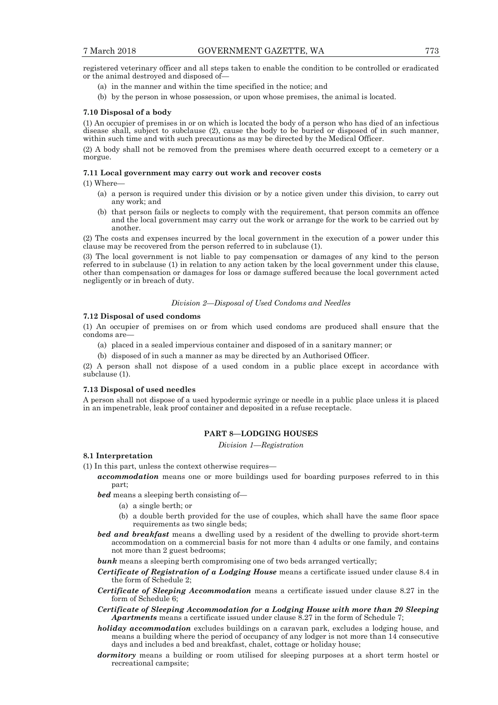registered veterinary officer and all steps taken to enable the condition to be controlled or eradicated or the animal destroyed and disposed of—

- (a) in the manner and within the time specified in the notice; and
- (b) by the person in whose possession, or upon whose premises, the animal is located.

#### **7.10 Disposal of a body**

(1) An occupier of premises in or on which is located the body of a person who has died of an infectious disease shall, subject to subclause (2), cause the body to be buried or disposed of in such manner, within such time and with such precautions as may be directed by the Medical Officer.

(2) A body shall not be removed from the premises where death occurred except to a cemetery or a morgue.

#### **7.11 Local government may carry out work and recover costs**

(1) Where—

- (a) a person is required under this division or by a notice given under this division, to carry out any work; and
- (b) that person fails or neglects to comply with the requirement, that person commits an offence and the local government may carry out the work or arrange for the work to be carried out by another.

(2) The costs and expenses incurred by the local government in the execution of a power under this clause may be recovered from the person referred to in subclause (1).

(3) The local government is not liable to pay compensation or damages of any kind to the person referred to in subclause (1) in relation to any action taken by the local government under this clause, other than compensation or damages for loss or damage suffered because the local government acted negligently or in breach of duty.

### *Division 2—Disposal of Used Condoms and Needles*

#### **7.12 Disposal of used condoms**

(1) An occupier of premises on or from which used condoms are produced shall ensure that the condoms are—

- (a) placed in a sealed impervious container and disposed of in a sanitary manner; or
- (b) disposed of in such a manner as may be directed by an Authorised Officer.

(2) A person shall not dispose of a used condom in a public place except in accordance with subclause (1).

#### **7.13 Disposal of used needles**

A person shall not dispose of a used hypodermic syringe or needle in a public place unless it is placed in an impenetrable, leak proof container and deposited in a refuse receptacle.

## **PART 8—LODGING HOUSES**

*Division 1—Registration* 

## **8.1 Interpretation**

- (1) In this part, unless the context otherwise requires
	- *accommodation* means one or more buildings used for boarding purposes referred to in this part;

*bed* means a sleeping berth consisting of—

- (a) a single berth; or
- (b) a double berth provided for the use of couples, which shall have the same floor space requirements as two single beds;
- *bed and breakfast* means a dwelling used by a resident of the dwelling to provide short-term accommodation on a commercial basis for not more than 4 adults or one family, and contains not more than 2 guest bedrooms;
- **bunk** means a sleeping berth compromising one of two beds arranged vertically;
- *Certificate of Registration of a Lodging House* means a certificate issued under clause 8.4 in the form of Schedule 2;
- *Certificate of Sleeping Accommodation* means a certificate issued under clause 8.27 in the form of Schedule 6;
- *Certificate of Sleeping Accommodation for a Lodging House with more than 20 Sleeping Apartments* means a certificate issued under clause 8.27 in the form of Schedule 7;
- *holiday accommodation* excludes buildings on a caravan park, excludes a lodging house, and means a building where the period of occupancy of any lodger is not more than 14 consecutive days and includes a bed and breakfast, chalet, cottage or holiday house;
- *dormitory* means a building or room utilised for sleeping purposes at a short term hostel or recreational campsite;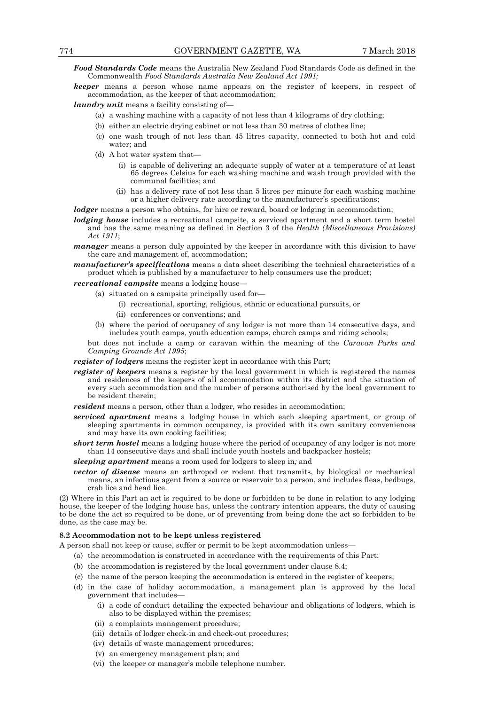*Food Standards Code* means the Australia New Zealand Food Standards Code as defined in the Commonwealth *Food Standards Australia New Zealand Act 1991;*

*keeper* means a person whose name appears on the register of keepers, in respect of accommodation, as the keeper of that accommodation;

*laundry unit* means a facility consisting of—

- (a) a washing machine with a capacity of not less than 4 kilograms of dry clothing;
- (b) either an electric drying cabinet or not less than 30 metres of clothes line;
- (c) one wash trough of not less than 45 litres capacity, connected to both hot and cold water; and
- (d) A hot water system that—
	- (i) is capable of delivering an adequate supply of water at a temperature of at least 65 degrees Celsius for each washing machine and wash trough provided with the communal facilities; and
	- (ii) has a delivery rate of not less than 5 litres per minute for each washing machine or a higher delivery rate according to the manufacturer's specifications;

*lodger* means a person who obtains, for hire or reward, board or lodging in accommodation;

*lodging house* includes a recreational campsite, a serviced apartment and a short term hostel and has the same meaning as defined in Section 3 of the *Health (Miscellaneous Provisions) Act 1911*;

*manager* means a person duly appointed by the keeper in accordance with this division to have the care and management of, accommodation;

*manufacturer's specifications* means a data sheet describing the technical characteristics of a product which is published by a manufacturer to help consumers use the product;

*recreational campsite* means a lodging house—

- (a) situated on a campsite principally used for—
	- (i) recreational, sporting, religious, ethnic or educational pursuits, or
	- (ii) conferences or conventions; and
- (b) where the period of occupancy of any lodger is not more than 14 consecutive days, and includes youth camps, youth education camps, church camps and riding schools;

but does not include a camp or caravan within the meaning of the *Caravan Parks and Camping Grounds Act 1995*;

*register of lodgers* means the register kept in accordance with this Part;

*register of keepers* means a register by the local government in which is registered the names and residences of the keepers of all accommodation within its district and the situation of every such accommodation and the number of persons authorised by the local government to be resident therein;

*resident* means a person, other than a lodger, who resides in accommodation;

- *serviced apartment* means a lodging house in which each sleeping apartment, or group of sleeping apartments in common occupancy, is provided with its own sanitary conveniences and may have its own cooking facilities;
- *short term hostel* means a lodging house where the period of occupancy of any lodger is not more than 14 consecutive days and shall include youth hostels and backpacker hostels;
- *sleeping apartment* means a room used for lodgers to sleep in*;* and
- *vector of disease* means an arthropod or rodent that transmits, by biological or mechanical means, an infectious agent from a source or reservoir to a person, and includes fleas, bedbugs, crab lice and head lice.

(2) Where in this Part an act is required to be done or forbidden to be done in relation to any lodging house, the keeper of the lodging house has, unless the contrary intention appears, the duty of causing to be done the act so required to be done, or of preventing from being done the act so forbidden to be done, as the case may be.

#### **8.2 Accommodation not to be kept unless registered**

A person shall not keep or cause, suffer or permit to be kept accommodation unless—

- (a) the accommodation is constructed in accordance with the requirements of this Part;
- (b) the accommodation is registered by the local government under clause 8.4;
- (c) the name of the person keeping the accommodation is entered in the register of keepers;
- (d) in the case of holiday accommodation, a management plan is approved by the local government that includes—
	- (i) a code of conduct detailing the expected behaviour and obligations of lodgers, which is also to be displayed within the premises;
	- (ii) a complaints management procedure;
	- (iii) details of lodger check-in and check-out procedures;
	- (iv) details of waste management procedures;
	- (v) an emergency management plan; and
	- (vi) the keeper or manager's mobile telephone number.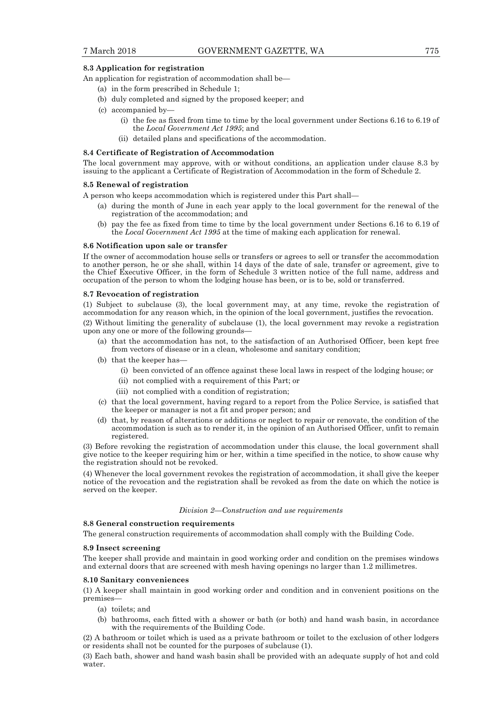## **8.3 Application for registration**

An application for registration of accommodation shall be—

- (a) in the form prescribed in Schedule 1;
- (b) duly completed and signed by the proposed keeper; and
- (c) accompanied by—
	- (i) the fee as fixed from time to time by the local government under Sections 6.16 to 6.19 of the *Local Government Act 1995*; and
	- (ii) detailed plans and specifications of the accommodation.

#### **8.4 Certificate of Registration of Accommodation**

The local government may approve, with or without conditions, an application under clause 8.3 by issuing to the applicant a Certificate of Registration of Accommodation in the form of Schedule 2.

#### **8.5 Renewal of registration**

A person who keeps accommodation which is registered under this Part shall—

- (a) during the month of June in each year apply to the local government for the renewal of the registration of the accommodation; and
- (b) pay the fee as fixed from time to time by the local government under Sections 6.16 to 6.19 of the *Local Government Act 1995* at the time of making each application for renewal.

#### **8.6 Notification upon sale or transfer**

If the owner of accommodation house sells or transfers or agrees to sell or transfer the accommodation to another person, he or she shall, within 14 days of the date of sale, transfer or agreement, give to the Chief Executive Officer, in the form of Schedule 3 written notice of the full name, address and occupation of the person to whom the lodging house has been, or is to be, sold or transferred.

#### **8.7 Revocation of registration**

(1) Subject to subclause (3), the local government may, at any time, revoke the registration of accommodation for any reason which, in the opinion of the local government, justifies the revocation.

(2) Without limiting the generality of subclause (1), the local government may revoke a registration upon any one or more of the following grounds—

- (a) that the accommodation has not, to the satisfaction of an Authorised Officer, been kept free from vectors of disease or in a clean, wholesome and sanitary condition;
- (b) that the keeper has—
	- (i) been convicted of an offence against these local laws in respect of the lodging house; or
	- (ii) not complied with a requirement of this Part; or
	- (iii) not complied with a condition of registration;
- (c) that the local government, having regard to a report from the Police Service, is satisfied that the keeper or manager is not a fit and proper person; and
- (d) that, by reason of alterations or additions or neglect to repair or renovate, the condition of the accommodation is such as to render it, in the opinion of an Authorised Officer, unfit to remain registered.

(3) Before revoking the registration of accommodation under this clause, the local government shall give notice to the keeper requiring him or her, within a time specified in the notice, to show cause why the registration should not be revoked.

(4) Whenever the local government revokes the registration of accommodation, it shall give the keeper notice of the revocation and the registration shall be revoked as from the date on which the notice is served on the keeper.

#### *Division 2—Construction and use requirements*

#### **8.8 General construction requirements**

The general construction requirements of accommodation shall comply with the Building Code.

#### **8.9 Insect screening**

The keeper shall provide and maintain in good working order and condition on the premises windows and external doors that are screened with mesh having openings no larger than 1.2 millimetres.

#### **8.10 Sanitary conveniences**

(1) A keeper shall maintain in good working order and condition and in convenient positions on the premises—

- (a) toilets; and
- (b) bathrooms, each fitted with a shower or bath (or both) and hand wash basin, in accordance with the requirements of the Building Code.

(2) A bathroom or toilet which is used as a private bathroom or toilet to the exclusion of other lodgers or residents shall not be counted for the purposes of subclause (1).

(3) Each bath, shower and hand wash basin shall be provided with an adequate supply of hot and cold water.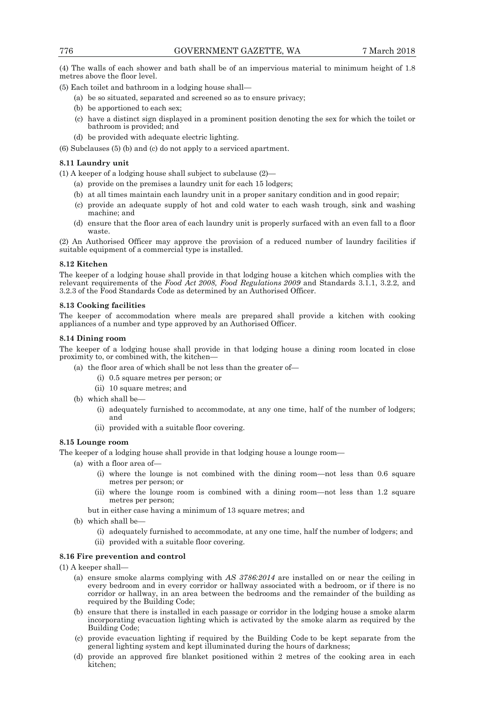(4) The walls of each shower and bath shall be of an impervious material to minimum height of 1.8 metres above the floor level.

(5) Each toilet and bathroom in a lodging house shall—

- (a) be so situated, separated and screened so as to ensure privacy;
- (b) be apportioned to each sex;
- (c) have a distinct sign displayed in a prominent position denoting the sex for which the toilet or bathroom is provided; and
- (d) be provided with adequate electric lighting.

(6) Subclauses (5) (b) and (c) do not apply to a serviced apartment.

#### **8.11 Laundry unit**

(1) A keeper of a lodging house shall subject to subclause (2)—

- (a) provide on the premises a laundry unit for each 15 lodgers;
- (b) at all times maintain each laundry unit in a proper sanitary condition and in good repair;
- (c) provide an adequate supply of hot and cold water to each wash trough, sink and washing machine; and
- (d) ensure that the floor area of each laundry unit is properly surfaced with an even fall to a floor waste.

(2) An Authorised Officer may approve the provision of a reduced number of laundry facilities if suitable equipment of a commercial type is installed.

#### **8.12 Kitchen**

The keeper of a lodging house shall provide in that lodging house a kitchen which complies with the relevant requirements of the *Food Act 2008, Food Regulations 2009* and Standards 3.1.1, 3.2.2, and 3.2.3 of the Food Standards Code as determined by an Authorised Officer.

## **8.13 Cooking facilities**

The keeper of accommodation where meals are prepared shall provide a kitchen with cooking appliances of a number and type approved by an Authorised Officer.

#### **8.14 Dining room**

The keeper of a lodging house shall provide in that lodging house a dining room located in close proximity to, or combined with, the kitchen—

- (a) the floor area of which shall be not less than the greater of—
	- (i) 0.5 square metres per person; or
	- (ii) 10 square metres; and
- (b) which shall be—
	- (i) adequately furnished to accommodate, at any one time, half of the number of lodgers; and
	- (ii) provided with a suitable floor covering.

## **8.15 Lounge room**

The keeper of a lodging house shall provide in that lodging house a lounge room—

- (a) with a floor area of—
	- (i) where the lounge is not combined with the dining room—not less than 0.6 square metres per person; or
	- (ii) where the lounge room is combined with a dining room—not less than 1.2 square metres per person;
	- but in either case having a minimum of 13 square metres; and
- (b) which shall be—
	- (i) adequately furnished to accommodate, at any one time, half the number of lodgers; and (ii) provided with a suitable floor covering.

#### **8.16 Fire prevention and control**

(1) A keeper shall—

- (a) ensure smoke alarms complying with *AS 3786:2014* are installed on or near the ceiling in every bedroom and in every corridor or hallway associated with a bedroom, or if there is no corridor or hallway, in an area between the bedrooms and the remainder of the building as required by the Building Code;
- (b) ensure that there is installed in each passage or corridor in the lodging house a smoke alarm incorporating evacuation lighting which is activated by the smoke alarm as required by the Building Code;
- (c) provide evacuation lighting if required by the Building Code to be kept separate from the general lighting system and kept illuminated during the hours of darkness;
- (d) provide an approved fire blanket positioned within 2 metres of the cooking area in each kitchen;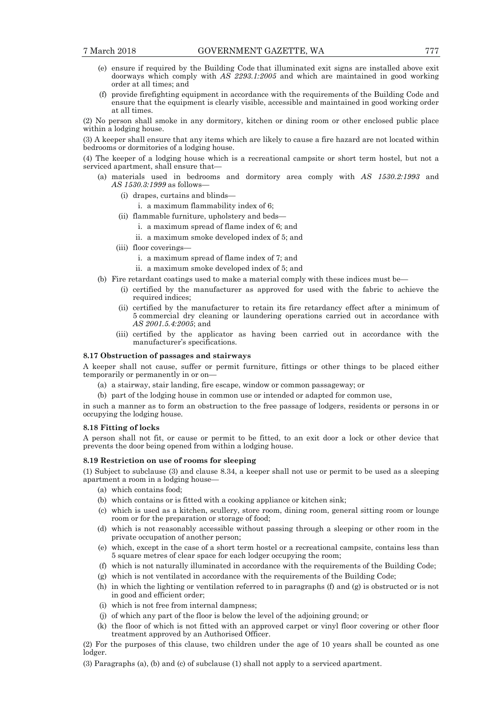- (e) ensure if required by the Building Code that illuminated exit signs are installed above exit doorways which comply with *AS 2293.1:2005* and which are maintained in good working order at all times; and
- (f) provide firefighting equipment in accordance with the requirements of the Building Code and ensure that the equipment is clearly visible, accessible and maintained in good working order at all times.

(2) No person shall smoke in any dormitory, kitchen or dining room or other enclosed public place within a lodging house.

(3) A keeper shall ensure that any items which are likely to cause a fire hazard are not located within bedrooms or dormitories of a lodging house.

(4) The keeper of a lodging house which is a recreational campsite or short term hostel, but not a serviced apartment, shall ensure that—

- (a) materials used in bedrooms and dormitory area comply with *AS 1530.2:1993* and *AS 1530.3:1999* as follows—
	- (i) drapes, curtains and blinds—

i. a maximum flammability index of 6;

- (ii) flammable furniture, upholstery and beds
	- i. a maximum spread of flame index of 6; and
	- ii. a maximum smoke developed index of 5; and
- (iii) floor coverings
	- i. a maximum spread of flame index of 7; and
	- ii. a maximum smoke developed index of 5; and
- (b) Fire retardant coatings used to make a material comply with these indices must be—
	- (i) certified by the manufacturer as approved for used with the fabric to achieve the required indices;
	- (ii) certified by the manufacturer to retain its fire retardancy effect after a minimum of 5 commercial dry cleaning or laundering operations carried out in accordance with *AS 2001.5.4:2005*; and
	- (iii) certified by the applicator as having been carried out in accordance with the manufacturer's specifications.

#### **8.17 Obstruction of passages and stairways**

A keeper shall not cause, suffer or permit furniture, fittings or other things to be placed either temporarily or permanently in or on—

- (a) a stairway, stair landing, fire escape, window or common passageway; or
- (b) part of the lodging house in common use or intended or adapted for common use,

in such a manner as to form an obstruction to the free passage of lodgers, residents or persons in or occupying the lodging house.

#### **8.18 Fitting of locks**

A person shall not fit, or cause or permit to be fitted, to an exit door a lock or other device that prevents the door being opened from within a lodging house.

#### **8.19 Restriction on use of rooms for sleeping**

(1) Subject to subclause (3) and clause 8.34, a keeper shall not use or permit to be used as a sleeping apartment a room in a lodging house—

- (a) which contains food;
- (b) which contains or is fitted with a cooking appliance or kitchen sink;
- (c) which is used as a kitchen, scullery, store room, dining room, general sitting room or lounge room or for the preparation or storage of food;
- (d) which is not reasonably accessible without passing through a sleeping or other room in the private occupation of another person;
- (e) which, except in the case of a short term hostel or a recreational campsite, contains less than 5 square metres of clear space for each lodger occupying the room;
- (f) which is not naturally illuminated in accordance with the requirements of the Building Code;
- (g) which is not ventilated in accordance with the requirements of the Building Code;
- (h) in which the lighting or ventilation referred to in paragraphs  $(f)$  and  $(g)$  is obstructed or is not in good and efficient order;
- (i) which is not free from internal dampness;
- (j) of which any part of the floor is below the level of the adjoining ground; or
- (k) the floor of which is not fitted with an approved carpet or vinyl floor covering or other floor treatment approved by an Authorised Officer.

(2) For the purposes of this clause, two children under the age of 10 years shall be counted as one lodger.

(3) Paragraphs (a), (b) and (c) of subclause (1) shall not apply to a serviced apartment.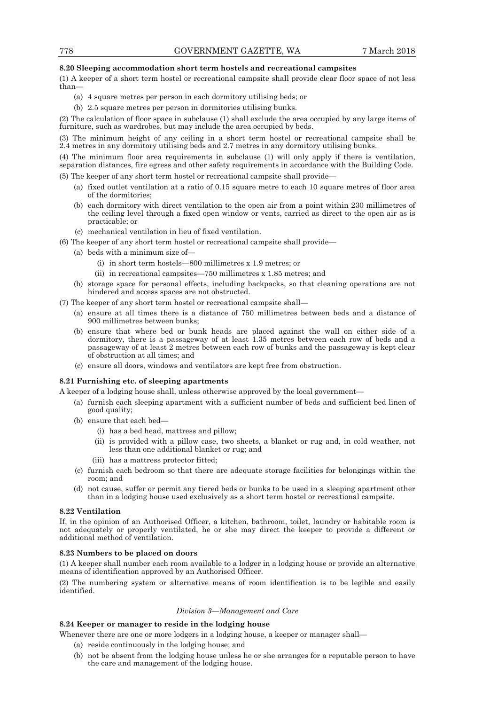#### **8.20 Sleeping accommodation short term hostels and recreational campsites**

(1) A keeper of a short term hostel or recreational campsite shall provide clear floor space of not less than—

- (a) 4 square metres per person in each dormitory utilising beds; or
- (b) 2.5 square metres per person in dormitories utilising bunks.

(2) The calculation of floor space in subclause (1) shall exclude the area occupied by any large items of furniture, such as wardrobes, but may include the area occupied by beds.

(3) The minimum height of any ceiling in a short term hostel or recreational campsite shall be 2.4 metres in any dormitory utilising beds and 2.7 metres in any dormitory utilising bunks.

(4) The minimum floor area requirements in subclause (1) will only apply if there is ventilation, separation distances, fire egress and other safety requirements in accordance with the Building Code.

(5) The keeper of any short term hostel or recreational campsite shall provide—

- (a) fixed outlet ventilation at a ratio of 0.15 square metre to each 10 square metres of floor area of the dormitories;
- (b) each dormitory with direct ventilation to the open air from a point within 230 millimetres of the ceiling level through a fixed open window or vents, carried as direct to the open air as is practicable; or
- (c) mechanical ventilation in lieu of fixed ventilation.

(6) The keeper of any short term hostel or recreational campsite shall provide—

- (a) beds with a minimum size of—
	- (i) in short term hostels—800 millimetres x 1.9 metres; or
	- (ii) in recreational campsites—750 millimetres x 1.85 metres; and
- (b) storage space for personal effects, including backpacks, so that cleaning operations are not hindered and access spaces are not obstructed.
- (7) The keeper of any short term hostel or recreational campsite shall—
	- (a) ensure at all times there is a distance of 750 millimetres between beds and a distance of 900 millimetres between bunks;
	- (b) ensure that where bed or bunk heads are placed against the wall on either side of a dormitory, there is a passageway of at least 1.35 metres between each row of beds and a passageway of at least 2 metres between each row of bunks and the passageway is kept clear of obstruction at all times; and
	- (c) ensure all doors, windows and ventilators are kept free from obstruction.

## **8.21 Furnishing etc. of sleeping apartments**

A keeper of a lodging house shall, unless otherwise approved by the local government—

- (a) furnish each sleeping apartment with a sufficient number of beds and sufficient bed linen of good quality;
- (b) ensure that each bed—
	- (i) has a bed head, mattress and pillow;
	- (ii) is provided with a pillow case, two sheets, a blanket or rug and, in cold weather, not less than one additional blanket or rug; and
	- (iii) has a mattress protector fitted;
- (c) furnish each bedroom so that there are adequate storage facilities for belongings within the room; and
- (d) not cause, suffer or permit any tiered beds or bunks to be used in a sleeping apartment other than in a lodging house used exclusively as a short term hostel or recreational campsite.

#### **8.22 Ventilation**

If, in the opinion of an Authorised Officer, a kitchen, bathroom, toilet, laundry or habitable room is not adequately or properly ventilated, he or she may direct the keeper to provide a different or additional method of ventilation.

## **8.23 Numbers to be placed on doors**

(1) A keeper shall number each room available to a lodger in a lodging house or provide an alternative means of identification approved by an Authorised Officer.

(2) The numbering system or alternative means of room identification is to be legible and easily identified.

#### *Division 3—Management and Care*

#### **8.24 Keeper or manager to reside in the lodging house**

Whenever there are one or more lodgers in a lodging house, a keeper or manager shall—

- (a) reside continuously in the lodging house; and
- (b) not be absent from the lodging house unless he or she arranges for a reputable person to have the care and management of the lodging house.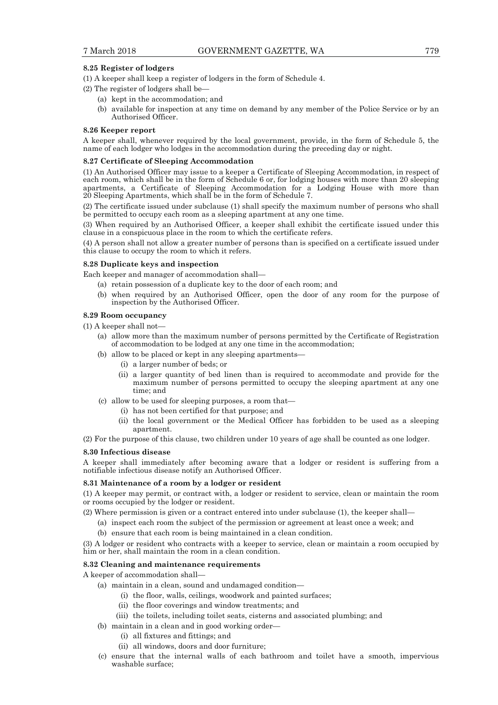#### **8.25 Register of lodgers**

(1) A keeper shall keep a register of lodgers in the form of Schedule 4.

(2) The register of lodgers shall be—

- (a) kept in the accommodation; and
- (b) available for inspection at any time on demand by any member of the Police Service or by an Authorised Officer.

### **8.26 Keeper report**

A keeper shall, whenever required by the local government, provide, in the form of Schedule 5, the name of each lodger who lodges in the accommodation during the preceding day or night.

#### **8.27 Certificate of Sleeping Accommodation**

(1) An Authorised Officer may issue to a keeper a Certificate of Sleeping Accommodation, in respect of each room, which shall be in the form of Schedule 6 or, for lodging houses with more than 20 sleeping apartments, a Certificate of Sleeping Accommodation for a Lodging House with more than 20 Sleeping Apartments, which shall be in the form of Schedule 7.

(2) The certificate issued under subclause (1) shall specify the maximum number of persons who shall be permitted to occupy each room as a sleeping apartment at any one time.

(3) When required by an Authorised Officer, a keeper shall exhibit the certificate issued under this clause in a conspicuous place in the room to which the certificate refers.

(4) A person shall not allow a greater number of persons than is specified on a certificate issued under this clause to occupy the room to which it refers.

#### **8.28 Duplicate keys and inspection**

Each keeper and manager of accommodation shall—

- (a) retain possession of a duplicate key to the door of each room; and
- (b) when required by an Authorised Officer, open the door of any room for the purpose of inspection by the Authorised Officer.

#### **8.29 Room occupancy**

(1) A keeper shall not—

- (a) allow more than the maximum number of persons permitted by the Certificate of Registration of accommodation to be lodged at any one time in the accommodation;
- (b) allow to be placed or kept in any sleeping apartments—
	- (i) a larger number of beds; or
	- (ii) a larger quantity of bed linen than is required to accommodate and provide for the maximum number of persons permitted to occupy the sleeping apartment at any one time; and
- (c) allow to be used for sleeping purposes, a room that—
	- (i) has not been certified for that purpose; and
	- (ii) the local government or the Medical Officer has forbidden to be used as a sleeping apartment.

(2) For the purpose of this clause, two children under 10 years of age shall be counted as one lodger.

#### **8.30 Infectious disease**

A keeper shall immediately after becoming aware that a lodger or resident is suffering from a notifiable infectious disease notify an Authorised Officer.

#### **8.31 Maintenance of a room by a lodger or resident**

(1) A keeper may permit, or contract with, a lodger or resident to service, clean or maintain the room or rooms occupied by the lodger or resident.

- (2) Where permission is given or a contract entered into under subclause (1), the keeper shall—
	- (a) inspect each room the subject of the permission or agreement at least once a week; and
	- (b) ensure that each room is being maintained in a clean condition.

(3) A lodger or resident who contracts with a keeper to service, clean or maintain a room occupied by him or her, shall maintain the room in a clean condition.

## **8.32 Cleaning and maintenance requirements**

A keeper of accommodation shall—

- (a) maintain in a clean, sound and undamaged condition—
	- (i) the floor, walls, ceilings, woodwork and painted surfaces;
	- (ii) the floor coverings and window treatments; and
	- (iii) the toilets, including toilet seats, cisterns and associated plumbing; and
- (b) maintain in a clean and in good working order—
	- (i) all fixtures and fittings; and
	- (ii) all windows, doors and door furniture;
- (c) ensure that the internal walls of each bathroom and toilet have a smooth, impervious washable surface;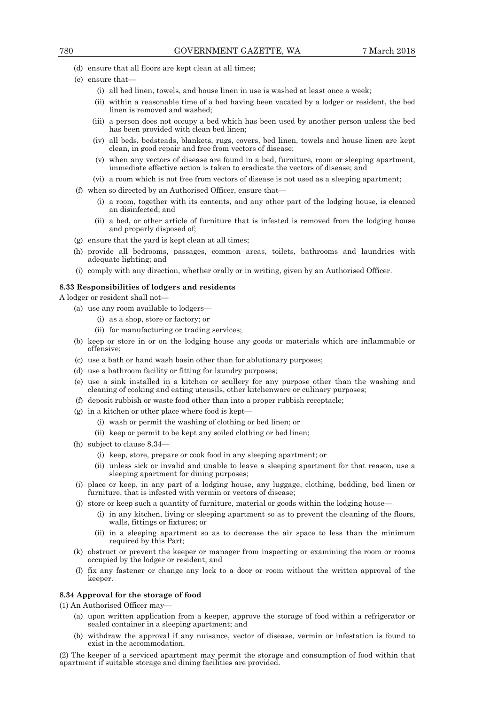- (d) ensure that all floors are kept clean at all times;
- (e) ensure that—
	- (i) all bed linen, towels, and house linen in use is washed at least once a week;
	- (ii) within a reasonable time of a bed having been vacated by a lodger or resident, the bed linen is removed and washed;
	- (iii) a person does not occupy a bed which has been used by another person unless the bed has been provided with clean bed linen;
	- (iv) all beds, bedsteads, blankets, rugs, covers, bed linen, towels and house linen are kept clean, in good repair and free from vectors of disease;
	- (v) when any vectors of disease are found in a bed, furniture, room or sleeping apartment, immediate effective action is taken to eradicate the vectors of disease; and
	- (vi) a room which is not free from vectors of disease is not used as a sleeping apartment;
- (f) when so directed by an Authorised Officer, ensure that—
	- (i) a room, together with its contents, and any other part of the lodging house, is cleaned an disinfected; and
	- (ii) a bed, or other article of furniture that is infested is removed from the lodging house and properly disposed of;
- (g) ensure that the yard is kept clean at all times;
- (h) provide all bedrooms, passages, common areas, toilets, bathrooms and laundries with adequate lighting; and
- (i) comply with any direction, whether orally or in writing, given by an Authorised Officer.

#### **8.33 Responsibilities of lodgers and residents**

A lodger or resident shall not—

- (a) use any room available to lodgers—
	- (i) as a shop, store or factory; or
	- (ii) for manufacturing or trading services;
- (b) keep or store in or on the lodging house any goods or materials which are inflammable or offensive;
- (c) use a bath or hand wash basin other than for ablutionary purposes;
- (d) use a bathroom facility or fitting for laundry purposes;
- (e) use a sink installed in a kitchen or scullery for any purpose other than the washing and cleaning of cooking and eating utensils, other kitchenware or culinary purposes;
- (f) deposit rubbish or waste food other than into a proper rubbish receptacle;
- $(g)$  in a kitchen or other place where food is kept-
	- (i) wash or permit the washing of clothing or bed linen; or
	- (ii) keep or permit to be kept any soiled clothing or bed linen;
- (h) subject to clause 8.34—
	- (i) keep, store, prepare or cook food in any sleeping apartment; or
	- (ii) unless sick or invalid and unable to leave a sleeping apartment for that reason, use a sleeping apartment for dining purposes;
- (i) place or keep, in any part of a lodging house, any luggage, clothing, bedding, bed linen or furniture, that is infested with vermin or vectors of disease;
- (j) store or keep such a quantity of furniture, material or goods within the lodging house—
	- (i) in any kitchen, living or sleeping apartment so as to prevent the cleaning of the floors, walls, fittings or fixtures; or
	- (ii) in a sleeping apartment so as to decrease the air space to less than the minimum required by this Part;
- (k) obstruct or prevent the keeper or manager from inspecting or examining the room or rooms occupied by the lodger or resident; and
- (l) fix any fastener or change any lock to a door or room without the written approval of the keeper.

#### **8.34 Approval for the storage of food**

(1) An Authorised Officer may—

- (a) upon written application from a keeper, approve the storage of food within a refrigerator or sealed container in a sleeping apartment; and
- (b) withdraw the approval if any nuisance, vector of disease, vermin or infestation is found to exist in the accommodation.

(2) The keeper of a serviced apartment may permit the storage and consumption of food within that apartment if suitable storage and dining facilities are provided.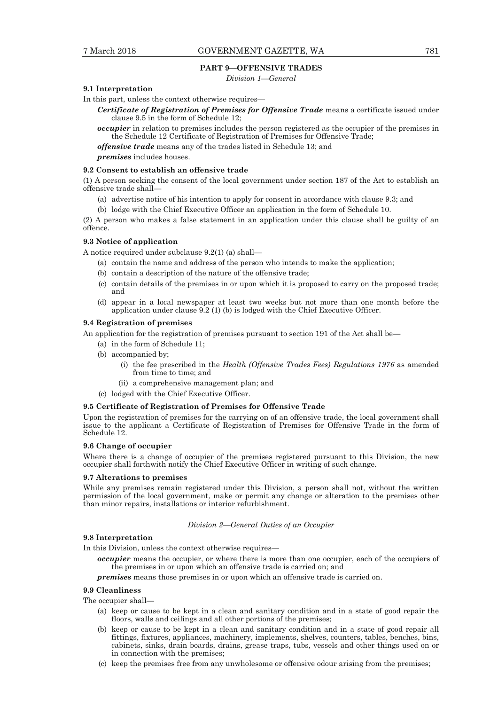#### **PART 9—OFFENSIVE TRADES**

*Division 1—General* 

## **9.1 Interpretation**

In this part, unless the context otherwise requires—

*Certificate of Registration of Premises for Offensive Trade* means a certificate issued under clause 9.5 in the form of Schedule 12;

*occupier* in relation to premises includes the person registered as the occupier of the premises in the Schedule 12 Certificate of Registration of Premises for Offensive Trade;

*offensive trade* means any of the trades listed in Schedule 13; and

*premises* includes houses.

#### **9.2 Consent to establish an offensive trade**

(1) A person seeking the consent of the local government under section 187 of the Act to establish an offensive trade shall—

- (a) advertise notice of his intention to apply for consent in accordance with clause 9.3; and
- (b) lodge with the Chief Executive Officer an application in the form of Schedule 10.

(2) A person who makes a false statement in an application under this clause shall be guilty of an offence.

## **9.3 Notice of application**

A notice required under subclause 9.2(1) (a) shall—

- (a) contain the name and address of the person who intends to make the application;
- (b) contain a description of the nature of the offensive trade;
- (c) contain details of the premises in or upon which it is proposed to carry on the proposed trade; and
- (d) appear in a local newspaper at least two weeks but not more than one month before the application under clause 9.2 (1) (b) is lodged with the Chief Executive Officer.

#### **9.4 Registration of premises**

- An application for the registration of premises pursuant to section 191 of the Act shall be—
	- (a) in the form of Schedule 11;
	- (b) accompanied by;
		- (i) the fee prescribed in the *Health (Offensive Trades Fees) Regulations 1976* as amended from time to time; and
		- (ii) a comprehensive management plan; and
	- (c) lodged with the Chief Executive Officer.

## **9.5 Certificate of Registration of Premises for Offensive Trade**

Upon the registration of premises for the carrying on of an offensive trade, the local government shall issue to the applicant a Certificate of Registration of Premises for Offensive Trade in the form of Schedule 12.

#### **9.6 Change of occupier**

Where there is a change of occupier of the premises registered pursuant to this Division, the new occupier shall forthwith notify the Chief Executive Officer in writing of such change.

#### **9.7 Alterations to premises**

While any premises remain registered under this Division, a person shall not, without the written permission of the local government, make or permit any change or alteration to the premises other than minor repairs, installations or interior refurbishment.

#### *Division 2—General Duties of an Occupier*

#### **9.8 Interpretation**

In this Division, unless the context otherwise requires—

*occupier* means the occupier, or where there is more than one occupier, each of the occupiers of the premises in or upon which an offensive trade is carried on; and

*premises* means those premises in or upon which an offensive trade is carried on.

#### **9.9 Cleanliness**

The occupier shall—

- (a) keep or cause to be kept in a clean and sanitary condition and in a state of good repair the floors, walls and ceilings and all other portions of the premises;
- (b) keep or cause to be kept in a clean and sanitary condition and in a state of good repair all fittings, fixtures, appliances, machinery, implements, shelves, counters, tables, benches, bins, cabinets, sinks, drain boards, drains, grease traps, tubs, vessels and other things used on or in connection with the premises;
- (c) keep the premises free from any unwholesome or offensive odour arising from the premises;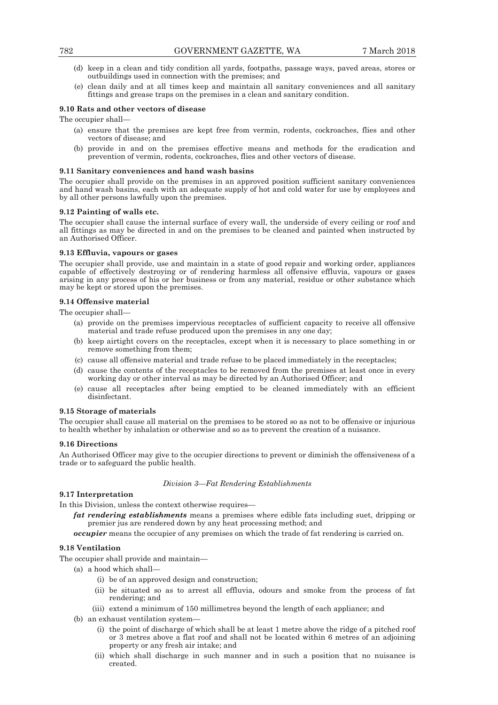- (d) keep in a clean and tidy condition all yards, footpaths, passage ways, paved areas, stores or outbuildings used in connection with the premises; and
- (e) clean daily and at all times keep and maintain all sanitary conveniences and all sanitary fittings and grease traps on the premises in a clean and sanitary condition.

#### **9.10 Rats and other vectors of disease**

The occupier shall—

- (a) ensure that the premises are kept free from vermin, rodents, cockroaches, flies and other vectors of disease; and
- (b) provide in and on the premises effective means and methods for the eradication and prevention of vermin, rodents, cockroaches, flies and other vectors of disease.

#### **9.11 Sanitary conveniences and hand wash basins**

The occupier shall provide on the premises in an approved position sufficient sanitary conveniences and hand wash basins, each with an adequate supply of hot and cold water for use by employees and by all other persons lawfully upon the premises.

#### **9.12 Painting of walls etc.**

The occupier shall cause the internal surface of every wall, the underside of every ceiling or roof and all fittings as may be directed in and on the premises to be cleaned and painted when instructed by an Authorised Officer.

#### **9.13 Effluvia, vapours or gases**

The occupier shall provide, use and maintain in a state of good repair and working order, appliances capable of effectively destroying or of rendering harmless all offensive effluvia, vapours or gases arising in any process of his or her business or from any material, residue or other substance which may be kept or stored upon the premises.

## **9.14 Offensive material**

The occupier shall-

- (a) provide on the premises impervious receptacles of sufficient capacity to receive all offensive material and trade refuse produced upon the premises in any one day;
- (b) keep airtight covers on the receptacles, except when it is necessary to place something in or remove something from them;
- (c) cause all offensive material and trade refuse to be placed immediately in the receptacles;
- (d) cause the contents of the receptacles to be removed from the premises at least once in every working day or other interval as may be directed by an Authorised Officer; and
- (e) cause all receptacles after being emptied to be cleaned immediately with an efficient disinfectant.

#### **9.15 Storage of materials**

The occupier shall cause all material on the premises to be stored so as not to be offensive or injurious to health whether by inhalation or otherwise and so as to prevent the creation of a nuisance.

#### **9.16 Directions**

An Authorised Officer may give to the occupier directions to prevent or diminish the offensiveness of a trade or to safeguard the public health.

#### *Division 3—Fat Rendering Establishments*

## **9.17 Interpretation**

In this Division, unless the context otherwise requires—

*fat rendering establishments* means a premises where edible fats including suet, dripping or premier jus are rendered down by any heat processing method; and

*occupier* means the occupier of any premises on which the trade of fat rendering is carried on.

## **9.18 Ventilation**

The occupier shall provide and maintain—

- (a) a hood which shall—
	- (i) be of an approved design and construction;
	- (ii) be situated so as to arrest all effluvia, odours and smoke from the process of fat rendering; and
	- (iii) extend a minimum of 150 millimetres beyond the length of each appliance; and
- (b) an exhaust ventilation system—
	- (i) the point of discharge of which shall be at least 1 metre above the ridge of a pitched roof or 3 metres above a flat roof and shall not be located within 6 metres of an adjoining property or any fresh air intake; and
	- (ii) which shall discharge in such manner and in such a position that no nuisance is created.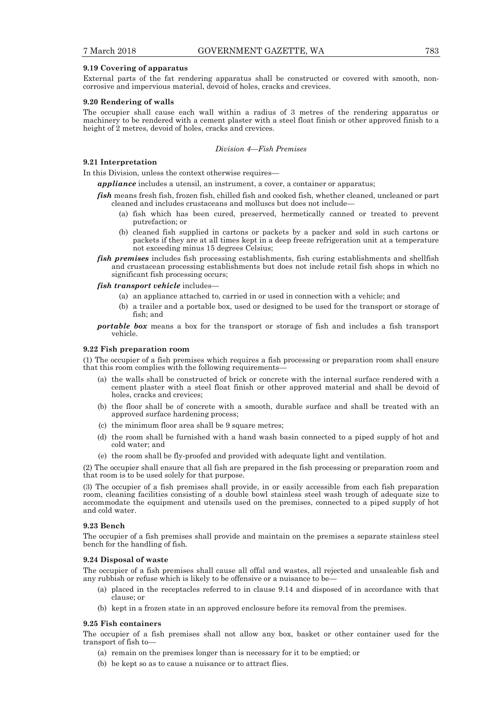#### **9.19 Covering of apparatus**

External parts of the fat rendering apparatus shall be constructed or covered with smooth, noncorrosive and impervious material, devoid of holes, cracks and crevices.

#### **9.20 Rendering of walls**

The occupier shall cause each wall within a radius of 3 metres of the rendering apparatus or machinery to be rendered with a cement plaster with a steel float finish or other approved finish to a height of 2 metres, devoid of holes, cracks and crevices.

#### *Division 4—Fish Premises*

## **9.21 Interpretation**

In this Division, unless the context otherwise requires—

*appliance* includes a utensil, an instrument, a cover, a container or apparatus;

*fish* means fresh fish, frozen fish, chilled fish and cooked fish, whether cleaned, uncleaned or part cleaned and includes crustaceans and molluscs but does not include—

- (a) fish which has been cured, preserved, hermetically canned or treated to prevent putrefaction; or
- (b) cleaned fish supplied in cartons or packets by a packer and sold in such cartons or packets if they are at all times kept in a deep freeze refrigeration unit at a temperature not exceeding minus 15 degrees Celsius;
- *fish premises* includes fish processing establishments, fish curing establishments and shellfish and crustacean processing establishments but does not include retail fish shops in which no significant fish processing occurs;

*fish transport vehicle* includes—

- (a) an appliance attached to, carried in or used in connection with a vehicle; and
- (b) a trailer and a portable box, used or designed to be used for the transport or storage of fish; and
- *portable box* means a box for the transport or storage of fish and includes a fish transport vehicle.

## **9.22 Fish preparation room**

(1) The occupier of a fish premises which requires a fish processing or preparation room shall ensure that this room complies with the following requirements—

- (a) the walls shall be constructed of brick or concrete with the internal surface rendered with a cement plaster with a steel float finish or other approved material and shall be devoid of holes, cracks and crevices;
- (b) the floor shall be of concrete with a smooth, durable surface and shall be treated with an approved surface hardening process;
- (c) the minimum floor area shall be 9 square metres;
- (d) the room shall be furnished with a hand wash basin connected to a piped supply of hot and cold water; and
- (e) the room shall be fly-proofed and provided with adequate light and ventilation.

(2) The occupier shall ensure that all fish are prepared in the fish processing or preparation room and that room is to be used solely for that purpose.

(3) The occupier of a fish premises shall provide, in or easily accessible from each fish preparation room, cleaning facilities consisting of a double bowl stainless steel wash trough of adequate size to accommodate the equipment and utensils used on the premises, connected to a piped supply of hot and cold water.

#### **9.23 Bench**

The occupier of a fish premises shall provide and maintain on the premises a separate stainless steel bench for the handling of fish.

#### **9.24 Disposal of waste**

The occupier of a fish premises shall cause all offal and wastes, all rejected and unsaleable fish and any rubbish or refuse which is likely to be offensive or a nuisance to be—

- (a) placed in the receptacles referred to in clause 9.14 and disposed of in accordance with that clause; or
- (b) kept in a frozen state in an approved enclosure before its removal from the premises.

## **9.25 Fish containers**

The occupier of a fish premises shall not allow any box, basket or other container used for the transport of fish to—

- (a) remain on the premises longer than is necessary for it to be emptied; or
- (b) be kept so as to cause a nuisance or to attract flies.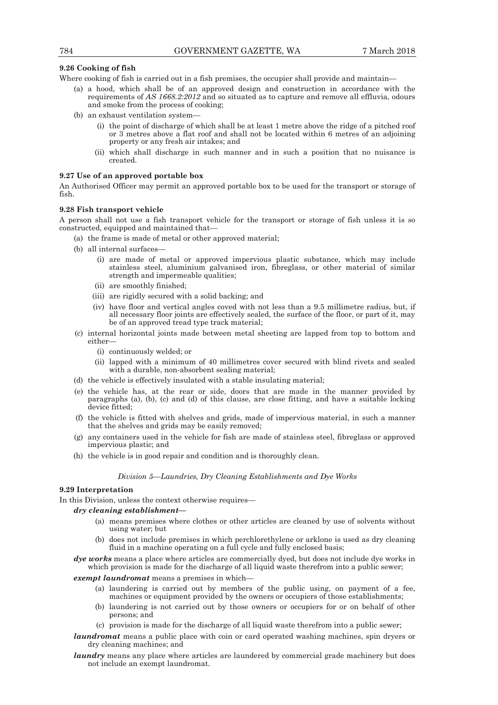#### **9.26 Cooking of fish**

Where cooking of fish is carried out in a fish premises, the occupier shall provide and maintain—

- (a) a hood, which shall be of an approved design and construction in accordance with the requirements of *AS 1668.2:2012* and so situated as to capture and remove all effluvia, odours and smoke from the process of cooking;
- (b) an exhaust ventilation system—
	- (i) the point of discharge of which shall be at least 1 metre above the ridge of a pitched roof or 3 metres above a flat roof and shall not be located within 6 metres of an adjoining property or any fresh air intakes; and
	- (ii) which shall discharge in such manner and in such a position that no nuisance is created.

#### **9.27 Use of an approved portable box**

An Authorised Officer may permit an approved portable box to be used for the transport or storage of fish.

## **9.28 Fish transport vehicle**

A person shall not use a fish transport vehicle for the transport or storage of fish unless it is so constructed, equipped and maintained that—

- (a) the frame is made of metal or other approved material;
- (b) all internal surfaces—
	- (i) are made of metal or approved impervious plastic substance, which may include stainless steel, aluminium galvanised iron, fibreglass, or other material of similar strength and impermeable qualities;
	- (ii) are smoothly finished;
	- (iii) are rigidly secured with a solid backing; and
	- (iv) have floor and vertical angles coved with not less than a 9.5 millimetre radius, but, if all necessary floor joints are effectively sealed, the surface of the floor, or part of it, may be of an approved tread type track material;
- (c) internal horizontal joints made between metal sheeting are lapped from top to bottom and either—
	- (i) continuously welded; or
	- (ii) lapped with a minimum of 40 millimetres cover secured with blind rivets and sealed with a durable, non-absorbent sealing material;
- (d) the vehicle is effectively insulated with a stable insulating material;
- (e) the vehicle has, at the rear or side, doors that are made in the manner provided by paragraphs (a), (b), (c) and (d) of this clause, are close fitting, and have a suitable locking device fitted;
- (f) the vehicle is fitted with shelves and grids, made of impervious material, in such a manner that the shelves and grids may be easily removed;
- (g) any containers used in the vehicle for fish are made of stainless steel, fibreglass or approved impervious plastic; and
- (h) the vehicle is in good repair and condition and is thoroughly clean.

#### *Division 5—Laundries, Dry Cleaning Establishments and Dye Works*

## **9.29 Interpretation**

In this Division, unless the context otherwise requires—

- *dry cleaning establishment—* 
	- (a) means premises where clothes or other articles are cleaned by use of solvents without using water; but
	- (b) does not include premises in which perchlorethylene or arklone is used as dry cleaning fluid in a machine operating on a full cycle and fully enclosed basis;
- *dye works* means a place where articles are commercially dyed, but does not include dye works in which provision is made for the discharge of all liquid waste therefrom into a public sewer;

#### *exempt laundromat* means a premises in which

- (a) laundering is carried out by members of the public using, on payment of a fee, machines or equipment provided by the owners or occupiers of those establishments;
- (b) laundering is not carried out by those owners or occupiers for or on behalf of other persons; and
- (c) provision is made for the discharge of all liquid waste therefrom into a public sewer;
- *laundromat* means a public place with coin or card operated washing machines, spin dryers or dry cleaning machines; and
- *laundry* means any place where articles are laundered by commercial grade machinery but does not include an exempt laundromat.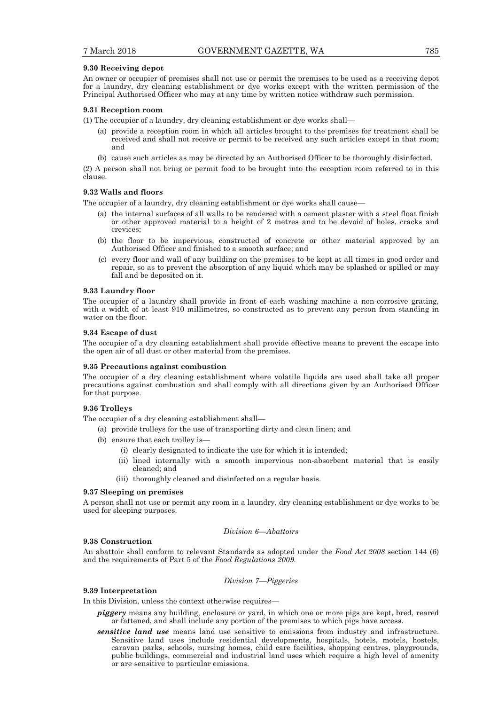#### **9.30 Receiving depot**

An owner or occupier of premises shall not use or permit the premises to be used as a receiving depot for a laundry, dry cleaning establishment or dye works except with the written permission of the Principal Authorised Officer who may at any time by written notice withdraw such permission.

#### **9.31 Reception room**

(1) The occupier of a laundry, dry cleaning establishment or dye works shall—

- (a) provide a reception room in which all articles brought to the premises for treatment shall be received and shall not receive or permit to be received any such articles except in that room; and
- (b) cause such articles as may be directed by an Authorised Officer to be thoroughly disinfected.

(2) A person shall not bring or permit food to be brought into the reception room referred to in this clause.

#### **9.32 Walls and floors**

The occupier of a laundry, dry cleaning establishment or dye works shall cause—

- (a) the internal surfaces of all walls to be rendered with a cement plaster with a steel float finish or other approved material to a height of 2 metres and to be devoid of holes, cracks and crevices;
- (b) the floor to be impervious, constructed of concrete or other material approved by an Authorised Officer and finished to a smooth surface; and
- (c) every floor and wall of any building on the premises to be kept at all times in good order and repair, so as to prevent the absorption of any liquid which may be splashed or spilled or may fall and be deposited on it.

#### **9.33 Laundry floor**

The occupier of a laundry shall provide in front of each washing machine a non-corrosive grating, with a width of at least 910 millimetres, so constructed as to prevent any person from standing in water on the floor.

#### **9.34 Escape of dust**

The occupier of a dry cleaning establishment shall provide effective means to prevent the escape into the open air of all dust or other material from the premises.

#### **9.35 Precautions against combustion**

The occupier of a dry cleaning establishment where volatile liquids are used shall take all proper precautions against combustion and shall comply with all directions given by an Authorised Officer for that purpose.

#### **9.36 Trolleys**

The occupier of a dry cleaning establishment shall—

- (a) provide trolleys for the use of transporting dirty and clean linen; and
- (b) ensure that each trolley is—
	- (i) clearly designated to indicate the use for which it is intended;
	- (ii) lined internally with a smooth impervious non-absorbent material that is easily cleaned; and
	- (iii) thoroughly cleaned and disinfected on a regular basis.

#### **9.37 Sleeping on premises**

A person shall not use or permit any room in a laundry, dry cleaning establishment or dye works to be used for sleeping purposes.

## *Division 6—Abattoirs*

#### **9.38 Construction**

An abattoir shall conform to relevant Standards as adopted under the *Food Act 2008* section 144 (6) and the requirements of Part 5 of the *Food Regulations 2009.*

#### *Division 7—Piggeries*

## **9.39 Interpretation**

In this Division, unless the context otherwise requires—

- *piggery* means any building, enclosure or yard, in which one or more pigs are kept, bred, reared or fattened, and shall include any portion of the premises to which pigs have access.
- *sensitive land use* means land use sensitive to emissions from industry and infrastructure. Sensitive land uses include residential developments, hospitals, hotels, motels, hostels, caravan parks, schools, nursing homes, child care facilities, shopping centres, playgrounds, public buildings, commercial and industrial land uses which require a high level of amenity or are sensitive to particular emissions.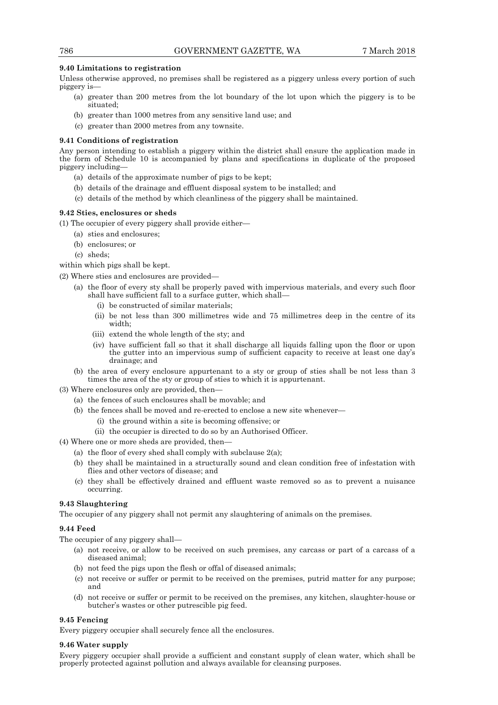## **9.40 Limitations to registration**

Unless otherwise approved, no premises shall be registered as a piggery unless every portion of such piggery is—

- (a) greater than 200 metres from the lot boundary of the lot upon which the piggery is to be situated;
- (b) greater than 1000 metres from any sensitive land use; and
- (c) greater than 2000 metres from any townsite.

## **9.41 Conditions of registration**

Any person intending to establish a piggery within the district shall ensure the application made in the form of Schedule 10 is accompanied by plans and specifications in duplicate of the proposed piggery including—

- (a) details of the approximate number of pigs to be kept;
- (b) details of the drainage and effluent disposal system to be installed; and
- (c) details of the method by which cleanliness of the piggery shall be maintained.

## **9.42 Sties, enclosures or sheds**

(1) The occupier of every piggery shall provide either—

- (a) sties and enclosures;
- (b) enclosures; or
- (c) sheds;

within which pigs shall be kept.

- (2) Where sties and enclosures are provided—
	- (a) the floor of every sty shall be properly paved with impervious materials, and every such floor shall have sufficient fall to a surface gutter, which shall—
		- (i) be constructed of similar materials;
		- (ii) be not less than 300 millimetres wide and 75 millimetres deep in the centre of its width;
		- (iii) extend the whole length of the sty; and
		- (iv) have sufficient fall so that it shall discharge all liquids falling upon the floor or upon the gutter into an impervious sump of sufficient capacity to receive at least one day's drainage; and
	- (b) the area of every enclosure appurtenant to a sty or group of sties shall be not less than 3 times the area of the sty or group of sties to which it is appurtenant.
- (3) Where enclosures only are provided, then—
	- (a) the fences of such enclosures shall be movable; and
	- (b) the fences shall be moved and re-erected to enclose a new site whenever—
		- (i) the ground within a site is becoming offensive; or
		- (ii) the occupier is directed to do so by an Authorised Officer.

(4) Where one or more sheds are provided, then—

- (a) the floor of every shed shall comply with subclause  $2(a)$ ;
- (b) they shall be maintained in a structurally sound and clean condition free of infestation with flies and other vectors of disease; and
- (c) they shall be effectively drained and effluent waste removed so as to prevent a nuisance occurring.

## **9.43 Slaughtering**

The occupier of any piggery shall not permit any slaughtering of animals on the premises.

## **9.44 Feed**

The occupier of any piggery shall—

- (a) not receive, or allow to be received on such premises, any carcass or part of a carcass of a diseased animal;
- (b) not feed the pigs upon the flesh or offal of diseased animals;
- (c) not receive or suffer or permit to be received on the premises, putrid matter for any purpose; and
- (d) not receive or suffer or permit to be received on the premises, any kitchen, slaughter-house or butcher's wastes or other putrescible pig feed.

## **9.45 Fencing**

Every piggery occupier shall securely fence all the enclosures.

## **9.46 Water supply**

Every piggery occupier shall provide a sufficient and constant supply of clean water, which shall be properly protected against pollution and always available for cleansing purposes.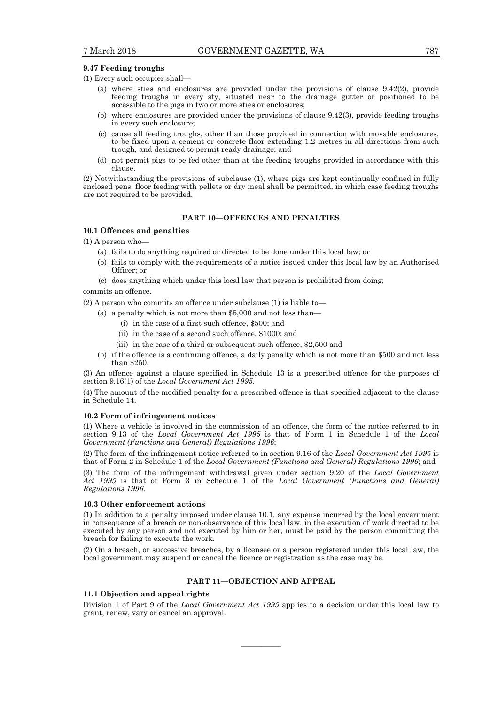#### **9.47 Feeding troughs**

(1) Every such occupier shall—

- (a) where sties and enclosures are provided under the provisions of clause 9.42(2), provide feeding troughs in every sty, situated near to the drainage gutter or positioned to be accessible to the pigs in two or more sties or enclosures;
- (b) where enclosures are provided under the provisions of clause 9.42(3), provide feeding troughs in every such enclosure;
- (c) cause all feeding troughs, other than those provided in connection with movable enclosures, to be fixed upon a cement or concrete floor extending 1.2 metres in all directions from such trough, and designed to permit ready drainage; and
- (d) not permit pigs to be fed other than at the feeding troughs provided in accordance with this clause.

(2) Notwithstanding the provisions of subclause (1), where pigs are kept continually confined in fully enclosed pens, floor feeding with pellets or dry meal shall be permitted, in which case feeding troughs are not required to be provided.

## **PART 10—OFFENCES AND PENALTIES**

#### **10.1 Offences and penalties**

(1) A person who—

- (a) fails to do anything required or directed to be done under this local law; or
- (b) fails to comply with the requirements of a notice issued under this local law by an Authorised Officer; or
- (c) does anything which under this local law that person is prohibited from doing;

commits an offence.

- (2) A person who commits an offence under subclause (1) is liable to—
	- (a) a penalty which is not more than \$5,000 and not less than—
		- (i) in the case of a first such offence, \$500; and
		- (ii) in the case of a second such offence, \$1000; and
		- (iii) in the case of a third or subsequent such offence, \$2,500 and
	- (b) if the offence is a continuing offence, a daily penalty which is not more than \$500 and not less than \$250.

(3) An offence against a clause specified in Schedule 13 is a prescribed offence for the purposes of section 9.16(1) of the *Local Government Act 1995*.

(4) The amount of the modified penalty for a prescribed offence is that specified adjacent to the clause in Schedule 14.

## **10.2 Form of infringement notices**

(1) Where a vehicle is involved in the commission of an offence, the form of the notice referred to in section 9.13 of the *Local Government Act 1995* is that of Form 1 in Schedule 1 of the *Local Government (Functions and General) Regulations 1996*;

(2) The form of the infringement notice referred to in section 9.16 of the *Local Government Act 1995* is that of Form 2 in Schedule 1 of the *Local Government (Functions and General) Regulations 1996*; and

(3) The form of the infringement withdrawal given under section 9.20 of the *Local Government Act 1995* is that of Form 3 in Schedule 1 of the *Local Government (Functions and General) Regulations 1996*.

#### **10.3 Other enforcement actions**

(1) In addition to a penalty imposed under clause 10.1, any expense incurred by the local government in consequence of a breach or non-observance of this local law, in the execution of work directed to be executed by any person and not executed by him or her, must be paid by the person committing the breach for failing to execute the work.

(2) On a breach, or successive breaches, by a licensee or a person registered under this local law, the local government may suspend or cancel the licence or registration as the case may be.

## **PART 11—OBJECTION AND APPEAL**

### **11.1 Objection and appeal rights**

Division 1 of Part 9 of the *Local Government Act 1995* applies to a decision under this local law to grant, renew, vary or cancel an approval.

————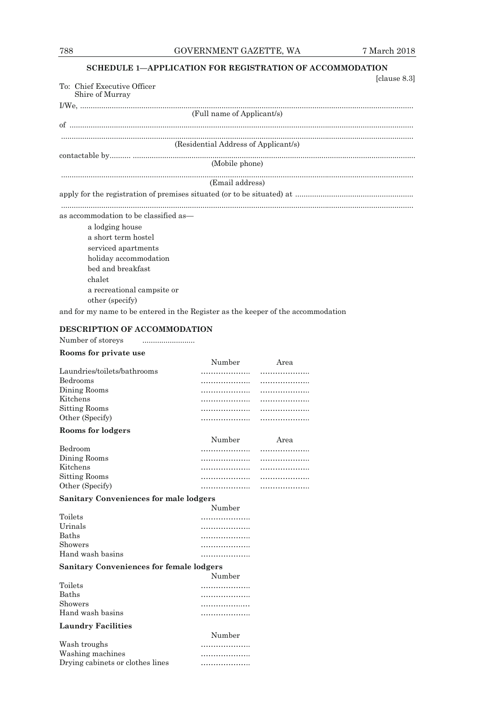## **SCHEDULE 1—APPLICATION FOR REGISTRATION OF ACCOMMODATION**

| [clause $8.3$ ]                       |
|---------------------------------------|
| To: Chief Executive Officer           |
| Shire of Murray                       |
|                                       |
| (Full name of Applicant/s)            |
|                                       |
| (Residential Address of Applicant/s)  |
|                                       |
| (Mobile phone)                        |
| (Email address)                       |
|                                       |
| as accommodation to be classified as— |
| a lodging house                       |
| a short term hostel                   |
| serviced apartments                   |
| holiday accommodation                 |
| bed and breakfast                     |
| chalet                                |
| a recreational campsite or            |
| other (specify)                       |
|                                       |

## **DESCRIPTION OF ACCOMMODATION**

Number of storeys  $\qquad \qquad \ldots \ldots \ldots \ldots \ldots \ldots \ldots \ldots$ 

| Rooms for private use                           |        |      |
|-------------------------------------------------|--------|------|
|                                                 | Number | Area |
| Laundries/toilets/bathrooms                     |        | .    |
| Bedrooms                                        | .      | .    |
| Dining Rooms                                    | .      | .    |
| Kitchens                                        | .      | .    |
| <b>Sitting Rooms</b>                            | .      | .    |
| Other (Specify)                                 | .      | .    |
| Rooms for lodgers                               |        |      |
|                                                 | Number | Area |
| Bedroom                                         |        | .    |
| Dining Rooms                                    | .      | .    |
| Kitchens                                        | .      |      |
| <b>Sitting Rooms</b>                            | .      |      |
| Other (Specify)                                 | .      | .    |
| <b>Sanitary Conveniences for male lodgers</b>   |        |      |
|                                                 | Number |      |
| Toilets                                         | .      |      |
| Urinals                                         | .      |      |
| <b>Baths</b>                                    | .      |      |
| Showers                                         | .      |      |
| Hand wash basins                                | .      |      |
| <b>Sanitary Conveniences for female lodgers</b> |        |      |
|                                                 | Number |      |
| Toilets                                         | .      |      |
| <b>Baths</b>                                    | .      |      |
| Showers                                         | .      |      |
| Hand wash basins                                | .      |      |
| <b>Laundry Facilities</b>                       |        |      |
|                                                 | Number |      |
| Wash troughs                                    |        |      |
| Washing machines                                | .      |      |
| Drying cabinets or clothes lines                | .      |      |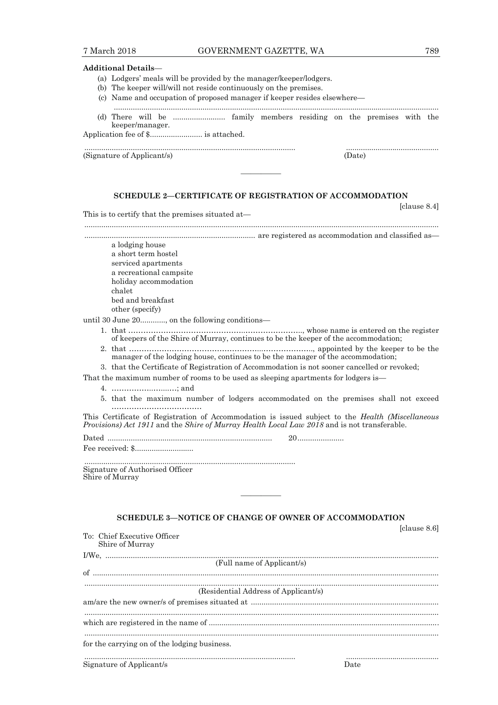#### **Additional Details**—

- (a) Lodgers' meals will be provided by the manager/keeper/lodgers.
- (b) The keeper will/will not reside continuously on the premises.
- (c) Name and occupation of proposed manager if keeper resides elsewhere—
- (d) There will be ......................... family members residing on the premises with the keeper/manager.

.................................................................................................... ............................................

..........................................................................................................................................................

Application fee of \$......................... is attached.

(Signature of Applicant/s) (Date)

## **SCHEDULE 2—CERTIFICATE OF REGISTRATION OF ACCOMMODATION**

————

This is to certify that the premises situated at—

........................................................................................................................................................................

................................................................................. are registered as accommodation and classified as—

 a lodging house a short term hostel serviced apartments a recreational campsite holiday accommodation chalet bed and breakfast other (specify)

until 30 June 20............, on the following conditions—

- - 1. that ………………………………………..………………….., whose name is entered on the register of keepers of the Shire of Murray, continues to be the keeper of the accommodation;
	- 2. that ……………………………………………...……………….., appointed by the keeper to be the manager of the lodging house, continues to be the manager of the accommodation;

3. that the Certificate of Registration of Accommodation is not sooner cancelled or revoked;

That the maximum number of rooms to be used as sleeping apartments for lodgers is—

4. ……………..…....…; and

 5. that the maximum number of lodgers accommodated on the premises shall not exceed ………………………………

This Certificate of Registration of Accommodation is issued subject to the *Health (Miscellaneous Provisions) Act 1911* and the *Shire of Murray Health Local Law 2018* and is not transferable.

Dated .............................................................................. 20 ......................

Fee received: \$............................

 .................................................................................................... Signature of Authorised Officer Shire of Murray

## **SCHEDULE 3—NOTICE OF CHANGE OF OWNER OF ACCOMMODATION**

————

| To: Chief Executive Officer                  |      |
|----------------------------------------------|------|
| Shire of Murray                              |      |
|                                              |      |
| (Full name of Applicant/s)                   |      |
|                                              |      |
|                                              |      |
| (Residential Address of Applicant/s)         |      |
|                                              |      |
|                                              |      |
|                                              |      |
| for the carrying on of the lodging business. |      |
| Signature of Applicant/s                     | Date |

[clause 8.4]

[clause 8.6]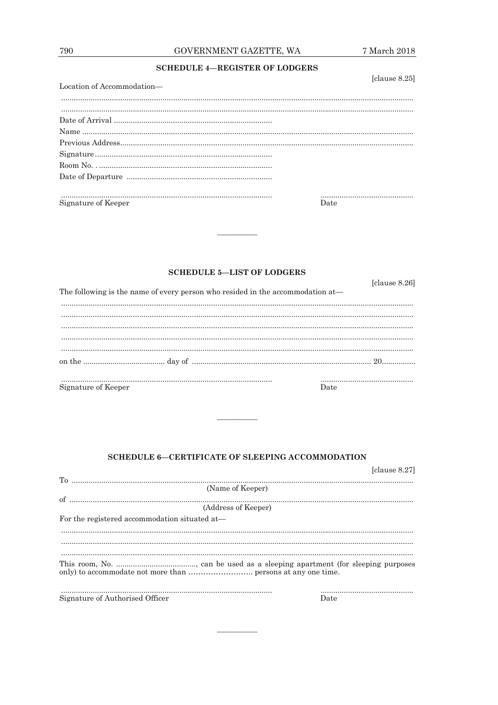## **SCHEDULE 4-REGISTER OF LODGERS**

| Location of Accommodation— | [clause 8.25] |
|----------------------------|---------------|
|                            |               |
|                            |               |
|                            |               |
|                            |               |
|                            |               |
|                            |               |
|                            |               |
| Signature of Keeper        | Date          |

## **SCHEDULE 5-LIST OF LODGERS**

| The following is the name of every person who resided in the accommodation at- | [clause 8.26] |
|--------------------------------------------------------------------------------|---------------|
|                                                                                |               |
|                                                                                |               |
| Signature of Keeper                                                            | Date          |

## SCHEDULE 6-CERTIFICATE OF SLEEPING ACCOMMODATION

<u> Alexandria (m. 1888)</u>

|                                               | [clause 8.27] |
|-----------------------------------------------|---------------|
| (Name of Keeper)                              |               |
|                                               |               |
| (Address of Keeper)                           |               |
| For the registered accommodation situated at— |               |
|                                               |               |
|                                               |               |
|                                               |               |
|                                               |               |
|                                               |               |
|                                               |               |
| Signature of Authorised Officer               | Date          |
|                                               |               |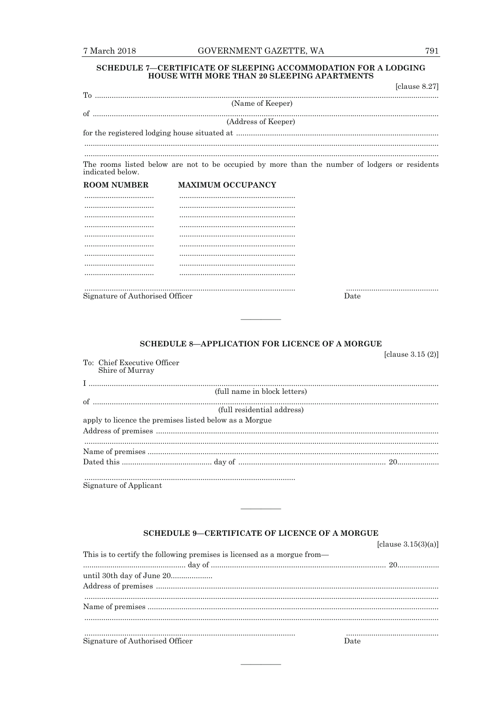## SCHEDULE 7—CERTIFICATE OF SLEEPING ACCOMMODATION FOR A LODGING HOUSE WITH MORE THAN 20 SLEEPING APARTMENTS

|                                                |                                                                                               | [clause $8.27$ ]    |
|------------------------------------------------|-----------------------------------------------------------------------------------------------|---------------------|
|                                                | (Name of Keeper)                                                                              |                     |
|                                                | (Address of Keeper)                                                                           |                     |
|                                                |                                                                                               |                     |
| indicated below.                               | The rooms listed below are not to be occupied by more than the number of lodgers or residents |                     |
| <b>ROOM NUMBER</b>                             | <b>MAXIMUM OCCUPANCY</b>                                                                      |                     |
|                                                |                                                                                               |                     |
|                                                |                                                                                               |                     |
|                                                |                                                                                               |                     |
|                                                |                                                                                               |                     |
|                                                |                                                                                               |                     |
|                                                |                                                                                               |                     |
|                                                |                                                                                               |                     |
|                                                |                                                                                               |                     |
|                                                |                                                                                               |                     |
| Signature of Authorised Officer                |                                                                                               | Date                |
|                                                |                                                                                               |                     |
|                                                | <b>SCHEDULE 8-APPLICATION FOR LICENCE OF A MORGUE</b>                                         | [clause $3.15(2)$ ] |
| To: Chief Executive Officer<br>Shire of Murray |                                                                                               |                     |
|                                                | (full name in block letters)                                                                  |                     |
|                                                |                                                                                               |                     |

(full residential address) apply to licence the premises listed below as a Morgue

Signature of Applicant

## **SCHEDULE 9-CERTIFICATE OF LICENCE OF A MORGUE**

| This is to certify the following premises is licensed as a morgue from— |      |
|-------------------------------------------------------------------------|------|
|                                                                         |      |
| until 30th day of June 20                                               |      |
|                                                                         |      |
|                                                                         |      |
|                                                                         |      |
|                                                                         |      |
| Signature of Authorised Officer                                         | Date |

[clause  $3.15(3)(a)$ ]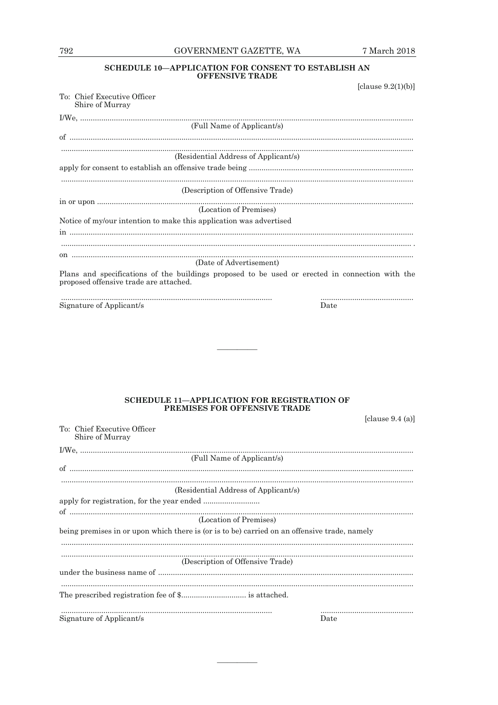## GOVERNMENT GAZETTE, WA

## ${\large\bf SCHEDULE\ 10}\displaystyle\mathrm{\rightarrow APPLICATION\ FOR\ CONSENT\ TO\ ESTABLIST\ AN\ }\\ \displaystyle\mathrm{OFFENSIVE\ TRADE}$

| [clause $9.2(1)(b)$ ]                                                                                                                     |  |
|-------------------------------------------------------------------------------------------------------------------------------------------|--|
| To: Chief Executive Officer<br>Shire of Murray                                                                                            |  |
|                                                                                                                                           |  |
| (Full Name of Applicant/s)                                                                                                                |  |
|                                                                                                                                           |  |
| (Residential Address of Applicant/s)                                                                                                      |  |
|                                                                                                                                           |  |
|                                                                                                                                           |  |
| (Description of Offensive Trade)                                                                                                          |  |
| (Location of Premises)                                                                                                                    |  |
| Notice of my/our intention to make this application was advertised                                                                        |  |
|                                                                                                                                           |  |
|                                                                                                                                           |  |
| (Date of Advertisement)                                                                                                                   |  |
| Plans and specifications of the buildings proposed to be used or erected in connection with the<br>proposed offensive trade are attached. |  |
| Signature of Applicant/s<br>Date                                                                                                          |  |

## SCHEDULE 11-APPLICATION FOR REGISTRATION OF PREMISES FOR OFFENSIVE TRADE

| [clause $9.4$ (a)] |  |  |
|--------------------|--|--|
|--------------------|--|--|

| To: Chief Executive Officer<br>Shire of Murray                                               |      |
|----------------------------------------------------------------------------------------------|------|
|                                                                                              |      |
| (Full Name of Applicant/s)                                                                   |      |
|                                                                                              |      |
|                                                                                              |      |
| (Residential Address of Applicant/s)                                                         |      |
|                                                                                              |      |
|                                                                                              |      |
| (Location of Premises)                                                                       |      |
| being premises in or upon which there is (or is to be) carried on an offensive trade, namely |      |
|                                                                                              |      |
|                                                                                              |      |
| (Description of Offensive Trade)                                                             |      |
|                                                                                              |      |
|                                                                                              |      |
|                                                                                              |      |
|                                                                                              |      |
| Signature of Applicant/s                                                                     | Date |
|                                                                                              |      |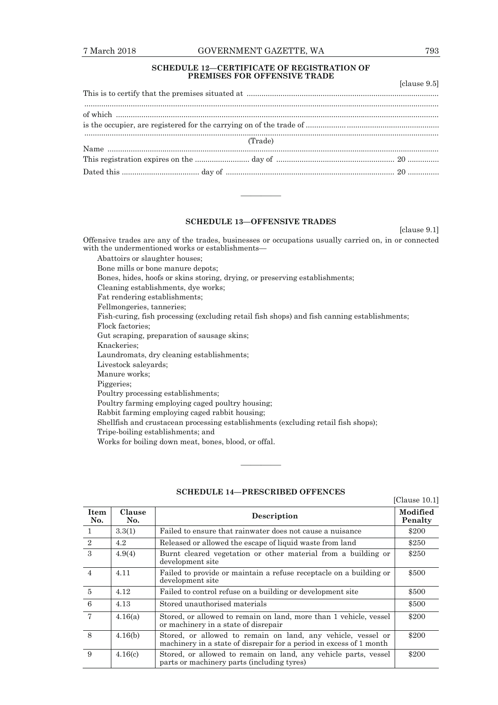## 7 March 2018 GOVERNMENT GAZETTE, WA 793

## **SCHEDULE 12—CERTIFICATE OF REGISTRATION OF PREMISES FOR OFFENSIVE TRADE**

|         | [clause 9.5] |  |
|---------|--------------|--|
|         |              |  |
|         |              |  |
| (Trade) |              |  |
|         |              |  |
|         |              |  |

## **SCHEDULE 13—OFFENSIVE TRADES**

————

[clause 9.1]

Offensive trades are any of the trades, businesses or occupations usually carried on, in or connected with the undermentioned works or establishments—

Abattoirs or slaughter houses; Bone mills or bone manure depots; Bones, hides, hoofs or skins storing, drying, or preserving establishments; Cleaning establishments, dye works; Fat rendering establishments; Fellmongeries, tanneries; Fish-curing, fish processing (excluding retail fish shops) and fish canning establishments; Flock factories; Gut scraping, preparation of sausage skins; Knackeries; Laundromats, dry cleaning establishments; Livestock saleyards; Manure works; Piggeries; Poultry processing establishments; Poultry farming employing caged poultry housing; Rabbit farming employing caged rabbit housing; Shellfish and crustacean processing establishments (excluding retail fish shops);

Tripe-boiling establishments; and

Works for boiling down meat, bones, blood, or offal.

|                    |               |                                                                                                                                     | [Clause $10.1$ ]    |
|--------------------|---------------|-------------------------------------------------------------------------------------------------------------------------------------|---------------------|
| <b>Item</b><br>No. | Clause<br>No. | Description                                                                                                                         | Modified<br>Penalty |
| $\mathbf{1}$       | 3.3(1)        | Failed to ensure that rainwater does not cause a nuisance                                                                           | \$200               |
| 2                  | 4.2           | Released or allowed the escape of liquid waste from land                                                                            | \$250               |
| 3                  | 4.9(4)        | Burnt cleared vegetation or other material from a building or<br>development site                                                   | \$250               |
| $\overline{4}$     | 4.11          | Failed to provide or maintain a refuse receptacle on a building or<br>development site                                              | \$500               |
| $\overline{5}$     | 4.12          | Failed to control refuse on a building or development site                                                                          | \$500               |
| $6\phantom{1}6$    | 4.13          | Stored unauthorised materials                                                                                                       | \$500               |
| $\overline{7}$     | 4.16(a)       | Stored, or allowed to remain on land, more than 1 vehicle, vessel<br>or machinery in a state of disrepair                           | \$200               |
| 8                  | 4.16(b)       | Stored, or allowed to remain on land, any vehicle, vessel or<br>machinery in a state of disrepair for a period in excess of 1 month | \$200               |
| 9                  | 4.16(c)       | Stored, or allowed to remain on land, any vehicle parts, vessel<br>parts or machinery parts (including tyres)                       | \$200               |

## **SCHEDULE 14—PRESCRIBED OFFENCES**

————